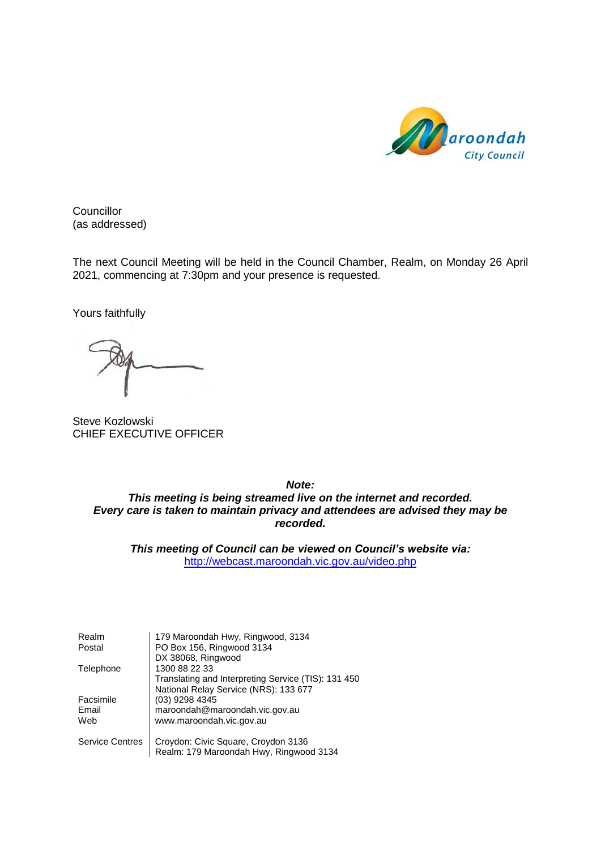

**Councillor** (as addressed)

The next Council Meeting will be held in the Council Chamber, Realm, on Monday 26 April 2021, commencing at 7:30pm and your presence is requested.

Yours faithfully

Steve Kozlowski CHIEF EXECUTIVE OFFICER

*Note: This meeting is being streamed live on the internet and recorded. Every care is taken to maintain privacy and attendees are advised they may be recorded.*

*This meeting of Council can be viewed on Council's website via:* <http://webcast.maroondah.vic.gov.au/video.php>

| Realm                  | 179 Maroondah Hwy, Ringwood, 3134                   |
|------------------------|-----------------------------------------------------|
| Postal                 | PO Box 156, Ringwood 3134                           |
|                        | DX 38068, Ringwood                                  |
| Telephone              | 1300 88 22 33                                       |
|                        | Translating and Interpreting Service (TIS): 131 450 |
|                        | National Relay Service (NRS): 133 677               |
| Facsimile              | (03) 9298 4345                                      |
| Email                  | maroondah@maroondah.vic.gov.au                      |
| Web                    | www.maroondah.vic.gov.au                            |
| <b>Service Centres</b> | Croydon: Civic Square, Croydon 3136                 |
|                        | Realm: 179 Maroondah Hwy, Ringwood 3134             |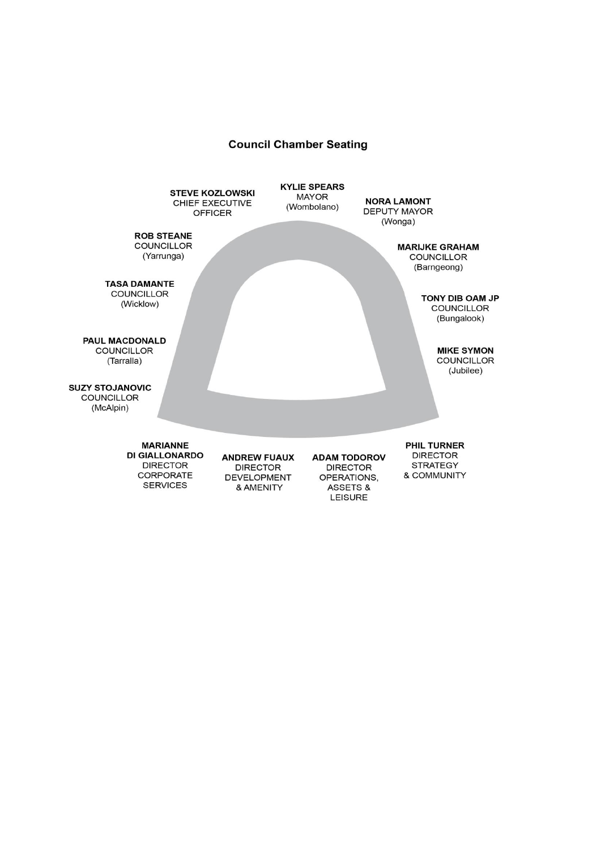#### **Council Chamber Seating**

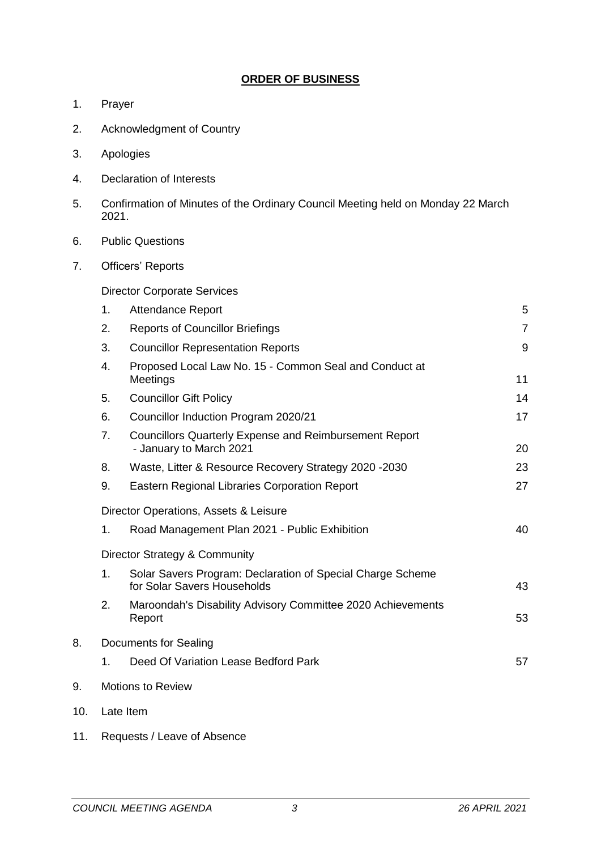## **ORDER OF BUSINESS**

- 1. Prayer
- 2. Acknowledgment of Country
- 3. Apologies
- 4. Declaration of Interests
- 5. Confirmation of Minutes of the Ordinary Council Meeting held on Monday 22 March 2021.
- 6. Public Questions
- 7. Officers' Reports

Director Corporate Services

|     | 1. | <b>Attendance Report</b>                                                                  | 5              |
|-----|----|-------------------------------------------------------------------------------------------|----------------|
|     | 2. | <b>Reports of Councillor Briefings</b>                                                    | $\overline{7}$ |
|     | 3. | <b>Councillor Representation Reports</b>                                                  | 9              |
|     | 4. | Proposed Local Law No. 15 - Common Seal and Conduct at<br>Meetings                        | 11             |
|     | 5. | <b>Councillor Gift Policy</b>                                                             | 14             |
|     | 6. | Councillor Induction Program 2020/21                                                      | 17             |
|     | 7. | <b>Councillors Quarterly Expense and Reimbursement Report</b><br>- January to March 2021  | 20             |
|     | 8. | Waste, Litter & Resource Recovery Strategy 2020 -2030                                     | 23             |
|     | 9. | Eastern Regional Libraries Corporation Report                                             | 27             |
|     |    | Director Operations, Assets & Leisure                                                     |                |
|     | 1. | Road Management Plan 2021 - Public Exhibition                                             | 40             |
|     |    | Director Strategy & Community                                                             |                |
|     | 1. | Solar Savers Program: Declaration of Special Charge Scheme<br>for Solar Savers Households | 43             |
|     | 2. | Maroondah's Disability Advisory Committee 2020 Achievements<br>Report                     | 53             |
| 8.  |    | <b>Documents for Sealing</b>                                                              |                |
|     | 1. | Deed Of Variation Lease Bedford Park                                                      | 57             |
| 9.  |    | <b>Motions to Review</b>                                                                  |                |
| 10. |    | Late Item                                                                                 |                |

11. Requests / Leave of Absence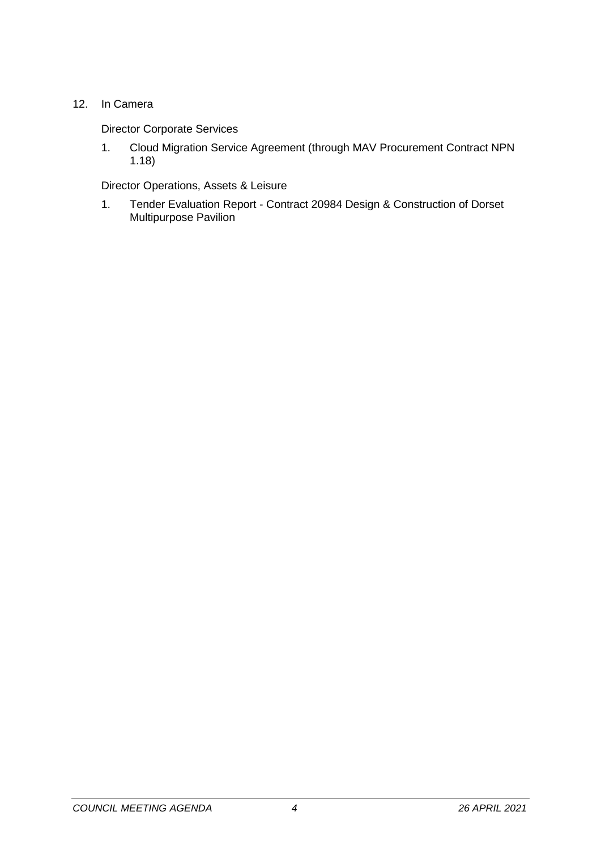## 12. In Camera

## Director Corporate Services

1. Cloud Migration Service Agreement (through MAV Procurement Contract NPN 1.18)

Director Operations, Assets & Leisure

1. Tender Evaluation Report - Contract 20984 Design & Construction of Dorset Multipurpose Pavilion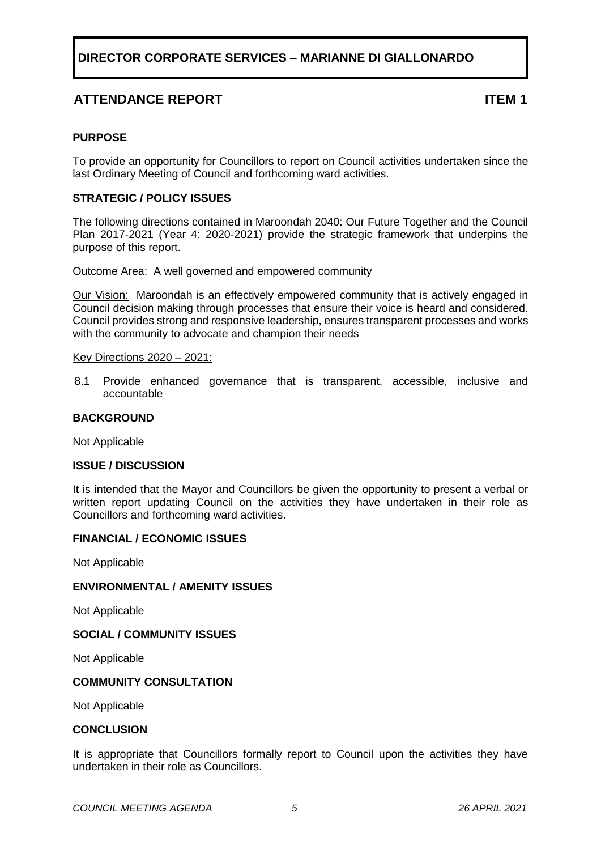# **ATTENDANCE REPORT ITEM 1**

#### <span id="page-4-0"></span>**PURPOSE**

To provide an opportunity for Councillors to report on Council activities undertaken since the last Ordinary Meeting of Council and forthcoming ward activities.

#### **STRATEGIC / POLICY ISSUES**

The following directions contained in Maroondah 2040: Our Future Together and the Council Plan 2017-2021 (Year 4: 2020-2021) provide the strategic framework that underpins the purpose of this report.

Outcome Area:A well governed and empowered community

Our Vision:Maroondah is an effectively empowered community that is actively engaged in Council decision making through processes that ensure their voice is heard and considered. Council provides strong and responsive leadership, ensures transparent processes and works with the community to advocate and champion their needs

#### Key Directions 2020 – 2021:

8.1 Provide enhanced governance that is transparent, accessible, inclusive and accountable

#### **BACKGROUND**

Not Applicable

#### **ISSUE / DISCUSSION**

It is intended that the Mayor and Councillors be given the opportunity to present a verbal or written report updating Council on the activities they have undertaken in their role as Councillors and forthcoming ward activities.

#### **FINANCIAL / ECONOMIC ISSUES**

Not Applicable

#### **ENVIRONMENTAL / AMENITY ISSUES**

Not Applicable

#### **SOCIAL / COMMUNITY ISSUES**

Not Applicable

#### **COMMUNITY CONSULTATION**

Not Applicable

#### **CONCLUSION**

It is appropriate that Councillors formally report to Council upon the activities they have undertaken in their role as Councillors.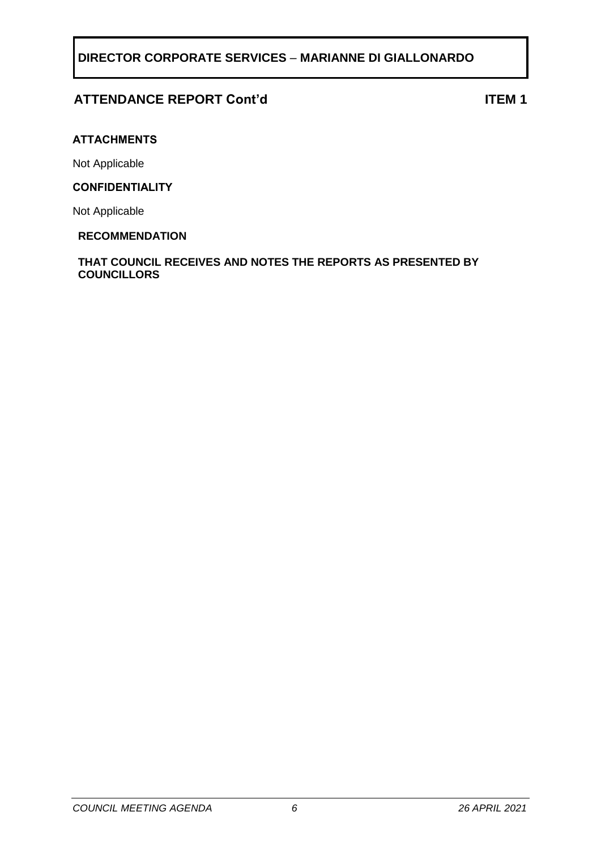# **ATTENDANCE REPORT Cont'd ITEM 1**

#### **ATTACHMENTS**

Not Applicable

#### **CONFIDENTIALITY**

Not Applicable

#### **RECOMMENDATION**

**THAT COUNCIL RECEIVES AND NOTES THE REPORTS AS PRESENTED BY COUNCILLORS**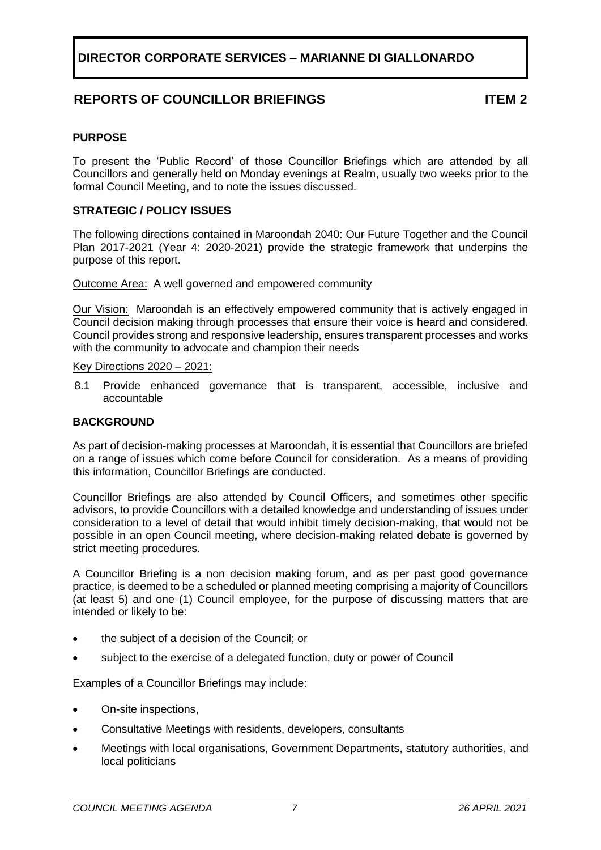# **REPORTS OF COUNCILLOR BRIEFINGS ITEM 2**

#### <span id="page-6-0"></span>**PURPOSE**

To present the 'Public Record' of those Councillor Briefings which are attended by all Councillors and generally held on Monday evenings at Realm, usually two weeks prior to the formal Council Meeting, and to note the issues discussed.

#### **STRATEGIC / POLICY ISSUES**

The following directions contained in Maroondah 2040: Our Future Together and the Council Plan 2017-2021 (Year 4: 2020-2021) provide the strategic framework that underpins the purpose of this report.

Outcome Area: A well governed and empowered community

Our Vision:Maroondah is an effectively empowered community that is actively engaged in Council decision making through processes that ensure their voice is heard and considered. Council provides strong and responsive leadership, ensures transparent processes and works with the community to advocate and champion their needs

Key Directions 2020 – 2021:

8.1 Provide enhanced governance that is transparent, accessible, inclusive and accountable

#### **BACKGROUND**

As part of decision-making processes at Maroondah, it is essential that Councillors are briefed on a range of issues which come before Council for consideration. As a means of providing this information, Councillor Briefings are conducted.

Councillor Briefings are also attended by Council Officers, and sometimes other specific advisors, to provide Councillors with a detailed knowledge and understanding of issues under consideration to a level of detail that would inhibit timely decision-making, that would not be possible in an open Council meeting, where decision-making related debate is governed by strict meeting procedures.

A Councillor Briefing is a non decision making forum, and as per past good governance practice, is deemed to be a scheduled or planned meeting comprising a majority of Councillors (at least 5) and one (1) Council employee, for the purpose of discussing matters that are intended or likely to be:

- the subject of a decision of the Council; or
- subject to the exercise of a delegated function, duty or power of Council

Examples of a Councillor Briefings may include:

- On-site inspections,
- Consultative Meetings with residents, developers, consultants
- Meetings with local organisations, Government Departments, statutory authorities, and local politicians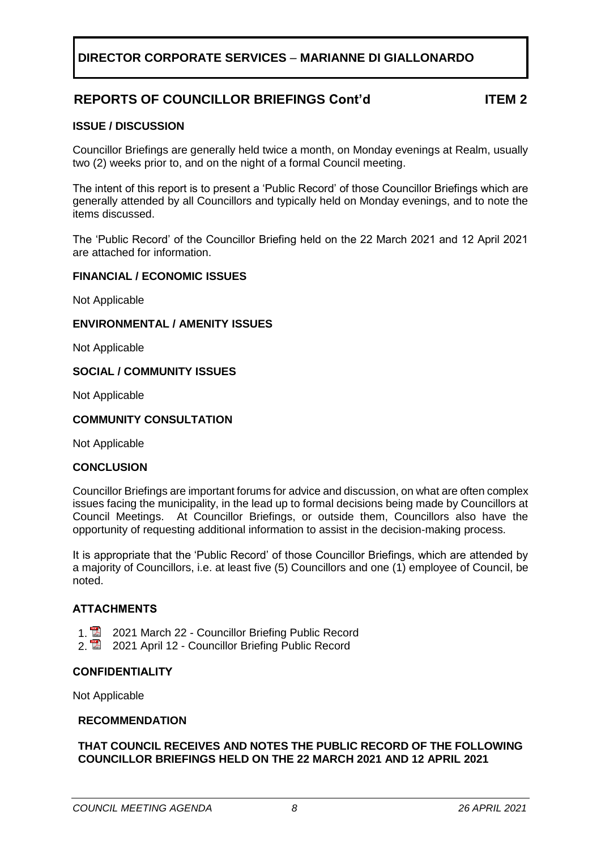# **REPORTS OF COUNCILLOR BRIEFINGS Cont'd ITEM 2**

#### **ISSUE / DISCUSSION**

Councillor Briefings are generally held twice a month, on Monday evenings at Realm, usually two (2) weeks prior to, and on the night of a formal Council meeting.

The intent of this report is to present a 'Public Record' of those Councillor Briefings which are generally attended by all Councillors and typically held on Monday evenings, and to note the items discussed.

The 'Public Record' of the Councillor Briefing held on the 22 March 2021 and 12 April 2021 are attached for information.

#### **FINANCIAL / ECONOMIC ISSUES**

Not Applicable

#### **ENVIRONMENTAL / AMENITY ISSUES**

Not Applicable

#### **SOCIAL / COMMUNITY ISSUES**

Not Applicable

#### **COMMUNITY CONSULTATION**

Not Applicable

#### **CONCLUSION**

Councillor Briefings are important forums for advice and discussion, on what are often complex issues facing the municipality, in the lead up to formal decisions being made by Councillors at Council Meetings. At Councillor Briefings, or outside them, Councillors also have the opportunity of requesting additional information to assist in the decision-making process.

It is appropriate that the 'Public Record' of those Councillor Briefings, which are attended by a majority of Councillors, i.e. at least five (5) Councillors and one (1) employee of Council, be noted.

#### **ATTACHMENTS**

- 1. **2021 March 22 Councillor Briefing Public Record**
- 2. **2021 April 12 Councillor Briefing Public Record**

#### **CONFIDENTIALITY**

Not Applicable

#### **RECOMMENDATION**

#### **THAT COUNCIL RECEIVES AND NOTES THE PUBLIC RECORD OF THE FOLLOWING COUNCILLOR BRIEFINGS HELD ON THE 22 MARCH 2021 AND 12 APRIL 2021**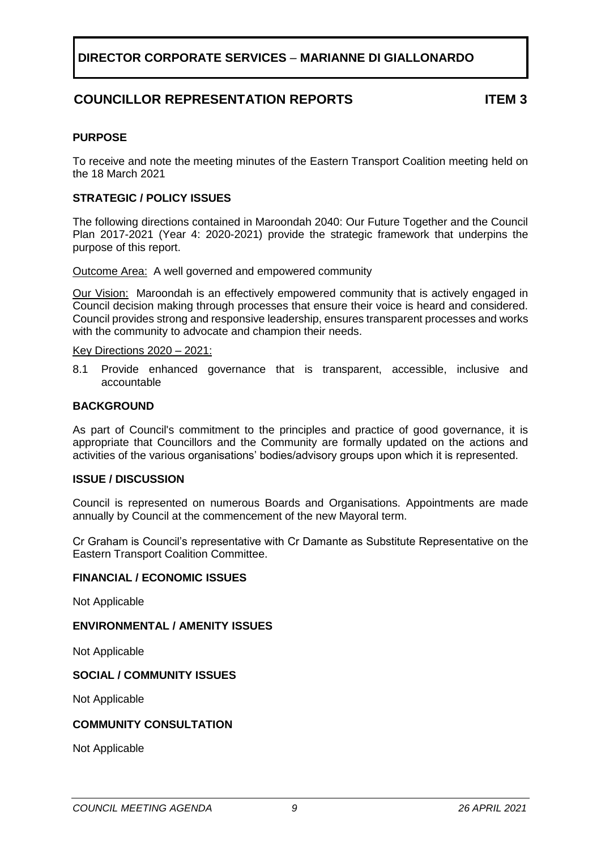# **COUNCILLOR REPRESENTATION REPORTS ITEM 3**

#### <span id="page-8-0"></span>**PURPOSE**

To receive and note the meeting minutes of the Eastern Transport Coalition meeting held on the 18 March 2021

#### **STRATEGIC / POLICY ISSUES**

The following directions contained in Maroondah 2040: Our Future Together and the Council Plan 2017-2021 (Year 4: 2020-2021) provide the strategic framework that underpins the purpose of this report.

Outcome Area: A well governed and empowered community

Our Vision:Maroondah is an effectively empowered community that is actively engaged in Council decision making through processes that ensure their voice is heard and considered. Council provides strong and responsive leadership, ensures transparent processes and works with the community to advocate and champion their needs.

Key Directions 2020 – 2021:

8.1 Provide enhanced governance that is transparent, accessible, inclusive and accountable

#### **BACKGROUND**

As part of Council's commitment to the principles and practice of good governance, it is appropriate that Councillors and the Community are formally updated on the actions and activities of the various organisations' bodies/advisory groups upon which it is represented.

#### **ISSUE / DISCUSSION**

Council is represented on numerous Boards and Organisations. Appointments are made annually by Council at the commencement of the new Mayoral term.

Cr Graham is Council's representative with Cr Damante as Substitute Representative on the Eastern Transport Coalition Committee.

#### **FINANCIAL / ECONOMIC ISSUES**

Not Applicable

#### **ENVIRONMENTAL / AMENITY ISSUES**

Not Applicable

#### **SOCIAL / COMMUNITY ISSUES**

Not Applicable

#### **COMMUNITY CONSULTATION**

Not Applicable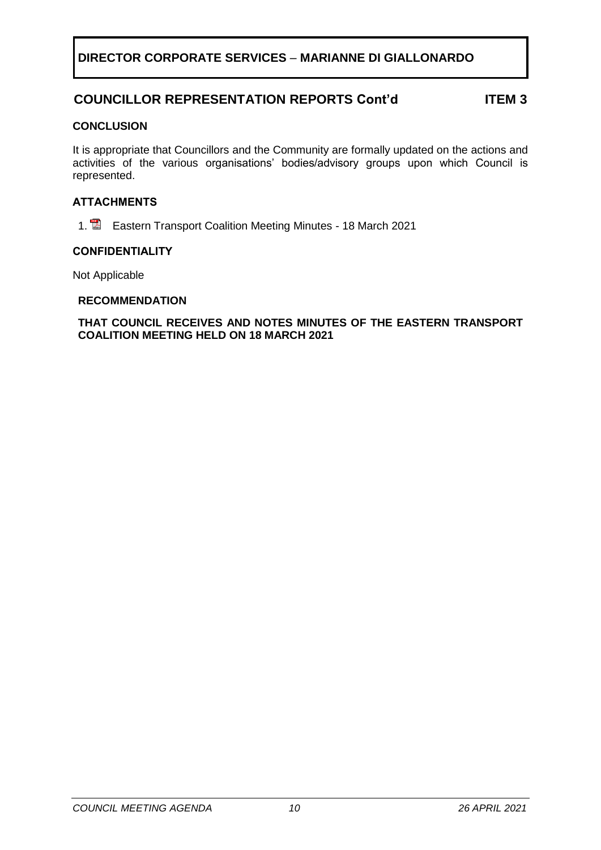# **COUNCILLOR REPRESENTATION REPORTS Cont'd ITEM 3**

#### **CONCLUSION**

It is appropriate that Councillors and the Community are formally updated on the actions and activities of the various organisations' bodies/advisory groups upon which Council is represented.

#### **ATTACHMENTS**

1. **E** Eastern Transport Coalition Meeting Minutes - 18 March 2021

#### **CONFIDENTIALITY**

Not Applicable

#### **RECOMMENDATION**

#### **THAT COUNCIL RECEIVES AND NOTES MINUTES OF THE EASTERN TRANSPORT COALITION MEETING HELD ON 18 MARCH 2021**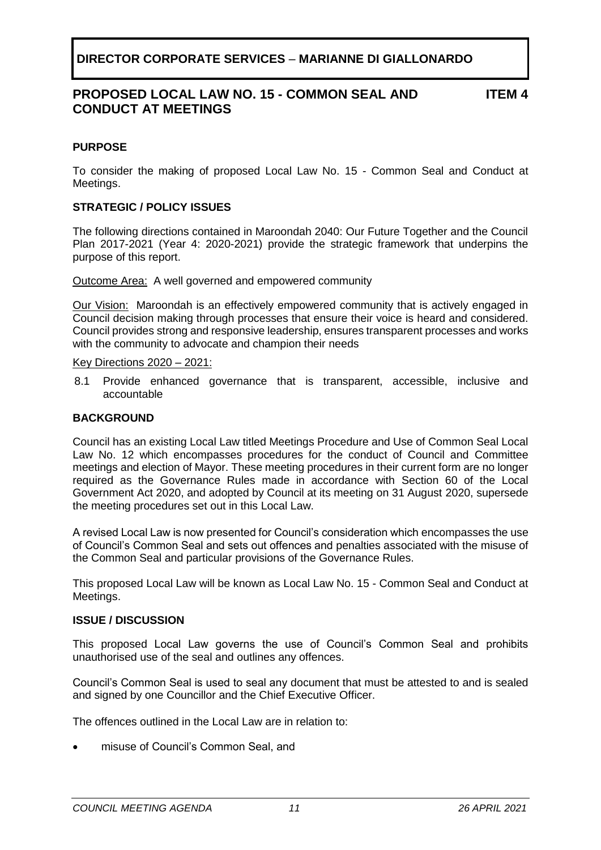## **PROPOSED LOCAL LAW NO. 15 - COMMON SEAL AND CONDUCT AT MEETINGS**

**ITEM 4**

#### <span id="page-10-0"></span>**PURPOSE**

To consider the making of proposed Local Law No. 15 - Common Seal and Conduct at Meetings.

#### **STRATEGIC / POLICY ISSUES**

The following directions contained in Maroondah 2040: Our Future Together and the Council Plan 2017-2021 (Year 4: 2020-2021) provide the strategic framework that underpins the purpose of this report.

Outcome Area: A well governed and empowered community

Our Vision:Maroondah is an effectively empowered community that is actively engaged in Council decision making through processes that ensure their voice is heard and considered. Council provides strong and responsive leadership, ensures transparent processes and works with the community to advocate and champion their needs

#### Key Directions 2020 – 2021:

8.1 Provide enhanced governance that is transparent, accessible, inclusive and accountable

#### **BACKGROUND**

Council has an existing Local Law titled Meetings Procedure and Use of Common Seal Local Law No. 12 which encompasses procedures for the conduct of Council and Committee meetings and election of Mayor. These meeting procedures in their current form are no longer required as the Governance Rules made in accordance with Section 60 of the Local Government Act 2020, and adopted by Council at its meeting on 31 August 2020, supersede the meeting procedures set out in this Local Law.

A revised Local Law is now presented for Council's consideration which encompasses the use of Council's Common Seal and sets out offences and penalties associated with the misuse of the Common Seal and particular provisions of the Governance Rules.

This proposed Local Law will be known as Local Law No. 15 - Common Seal and Conduct at Meetings.

#### **ISSUE / DISCUSSION**

This proposed Local Law governs the use of Council's Common Seal and prohibits unauthorised use of the seal and outlines any offences.

Council's Common Seal is used to seal any document that must be attested to and is sealed and signed by one Councillor and the Chief Executive Officer.

The offences outlined in the Local Law are in relation to:

• misuse of Council's Common Seal, and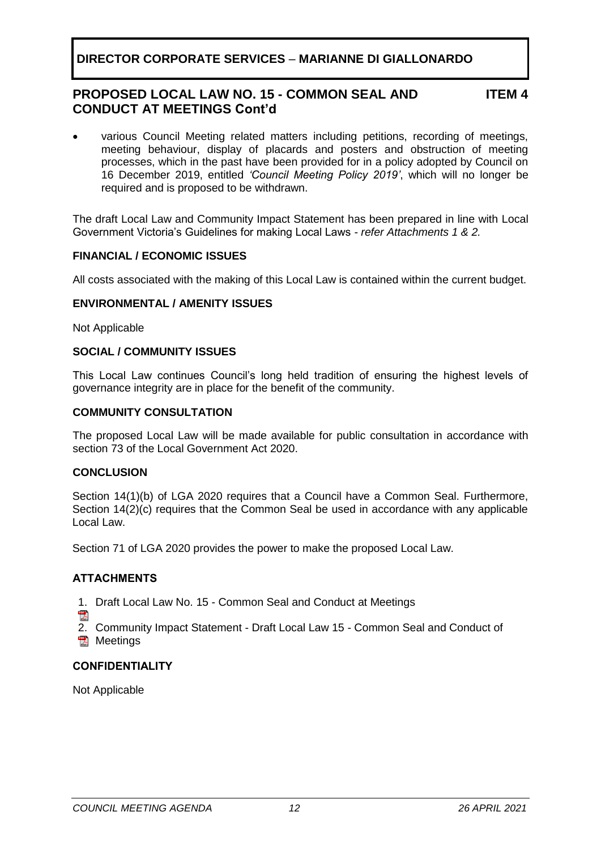## **PROPOSED LOCAL LAW NO. 15 - COMMON SEAL AND CONDUCT AT MEETINGS Cont'd**

**ITEM 4**

• various Council Meeting related matters including petitions, recording of meetings, meeting behaviour, display of placards and posters and obstruction of meeting processes, which in the past have been provided for in a policy adopted by Council on 16 December 2019, entitled *'Council Meeting Policy 2019'*, which will no longer be required and is proposed to be withdrawn.

The draft Local Law and Community Impact Statement has been prepared in line with Local Government Victoria's Guidelines for making Local Laws *- refer Attachments 1 & 2.*

#### **FINANCIAL / ECONOMIC ISSUES**

All costs associated with the making of this Local Law is contained within the current budget.

#### **ENVIRONMENTAL / AMENITY ISSUES**

Not Applicable

#### **SOCIAL / COMMUNITY ISSUES**

This Local Law continues Council's long held tradition of ensuring the highest levels of governance integrity are in place for the benefit of the community.

#### **COMMUNITY CONSULTATION**

The proposed Local Law will be made available for public consultation in accordance with section 73 of the Local Government Act 2020.

#### **CONCLUSION**

Section 14(1)(b) of LGA 2020 requires that a Council have a Common Seal. Furthermore, Section 14(2)(c) requires that the Common Seal be used in accordance with any applicable Local Law.

Section 71 of LGA 2020 provides the power to make the proposed Local Law.

#### **ATTACHMENTS**

- 1. Draft Local Law No. 15 Common Seal and Conduct at Meetings
- 四人

2. Community Impact Statement - Draft Local Law 15 - Common Seal and Conduct of **图 Meetings** 

#### **CONFIDENTIALITY**

Not Applicable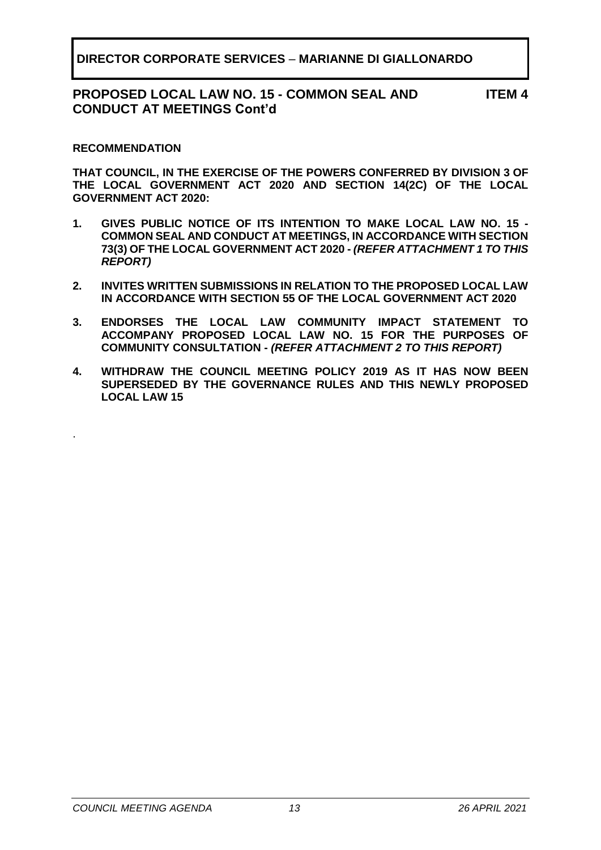## **PROPOSED LOCAL LAW NO. 15 - COMMON SEAL AND CONDUCT AT MEETINGS Cont'd**

**ITEM 4**

#### **RECOMMENDATION**

.

**THAT COUNCIL, IN THE EXERCISE OF THE POWERS CONFERRED BY DIVISION 3 OF THE LOCAL GOVERNMENT ACT 2020 AND SECTION 14(2C) OF THE LOCAL GOVERNMENT ACT 2020:**

- **1. GIVES PUBLIC NOTICE OF ITS INTENTION TO MAKE LOCAL LAW NO. 15 - COMMON SEAL AND CONDUCT AT MEETINGS, IN ACCORDANCE WITH SECTION 73(3) OF THE LOCAL GOVERNMENT ACT 2020 -** *(REFER ATTACHMENT 1 TO THIS REPORT)*
- **2. INVITES WRITTEN SUBMISSIONS IN RELATION TO THE PROPOSED LOCAL LAW IN ACCORDANCE WITH SECTION 55 OF THE LOCAL GOVERNMENT ACT 2020**
- **3. ENDORSES THE LOCAL LAW COMMUNITY IMPACT STATEMENT TO ACCOMPANY PROPOSED LOCAL LAW NO. 15 FOR THE PURPOSES OF COMMUNITY CONSULTATION -** *(REFER ATTACHMENT 2 TO THIS REPORT)*
- **4. WITHDRAW THE COUNCIL MEETING POLICY 2019 AS IT HAS NOW BEEN SUPERSEDED BY THE GOVERNANCE RULES AND THIS NEWLY PROPOSED LOCAL LAW 15**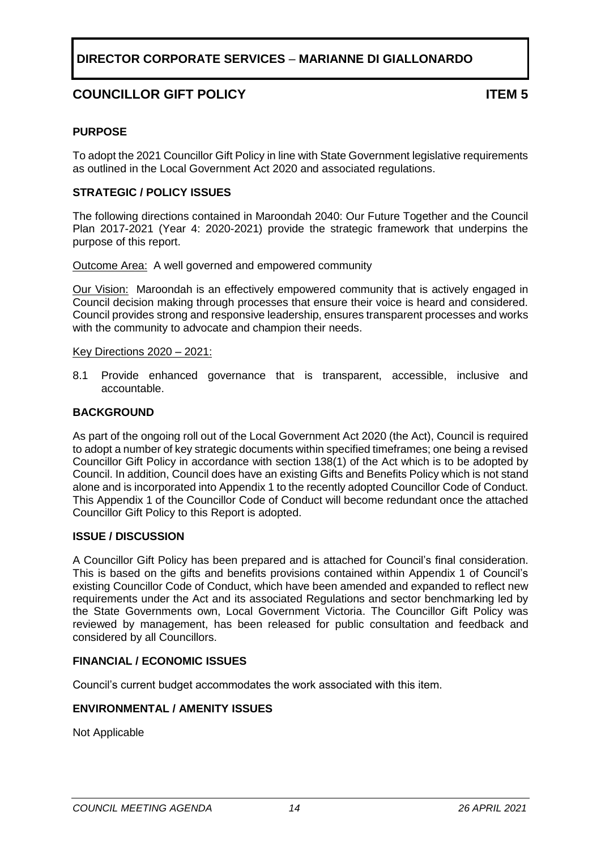# **COUNCILLOR GIFT POLICY ITEM 5**

#### <span id="page-13-0"></span>**PURPOSE**

To adopt the 2021 Councillor Gift Policy in line with State Government legislative requirements as outlined in the Local Government Act 2020 and associated regulations.

#### **STRATEGIC / POLICY ISSUES**

The following directions contained in Maroondah 2040: Our Future Together and the Council Plan 2017-2021 (Year 4: 2020-2021) provide the strategic framework that underpins the purpose of this report.

Outcome Area:A well governed and empowered community

Our Vision:Maroondah is an effectively empowered community that is actively engaged in Council decision making through processes that ensure their voice is heard and considered. Council provides strong and responsive leadership, ensures transparent processes and works with the community to advocate and champion their needs.

#### Key Directions 2020 – 2021:

8.1 Provide enhanced governance that is transparent, accessible, inclusive and accountable.

#### **BACKGROUND**

As part of the ongoing roll out of the Local Government Act 2020 (the Act), Council is required to adopt a number of key strategic documents within specified timeframes; one being a revised Councillor Gift Policy in accordance with section 138(1) of the Act which is to be adopted by Council. In addition, Council does have an existing Gifts and Benefits Policy which is not stand alone and is incorporated into Appendix 1 to the recently adopted Councillor Code of Conduct. This Appendix 1 of the Councillor Code of Conduct will become redundant once the attached Councillor Gift Policy to this Report is adopted.

#### **ISSUE / DISCUSSION**

A Councillor Gift Policy has been prepared and is attached for Council's final consideration. This is based on the gifts and benefits provisions contained within Appendix 1 of Council's existing Councillor Code of Conduct, which have been amended and expanded to reflect new requirements under the Act and its associated Regulations and sector benchmarking led by the State Governments own, Local Government Victoria. The Councillor Gift Policy was reviewed by management, has been released for public consultation and feedback and considered by all Councillors.

#### **FINANCIAL / ECONOMIC ISSUES**

Council's current budget accommodates the work associated with this item.

#### **ENVIRONMENTAL / AMENITY ISSUES**

Not Applicable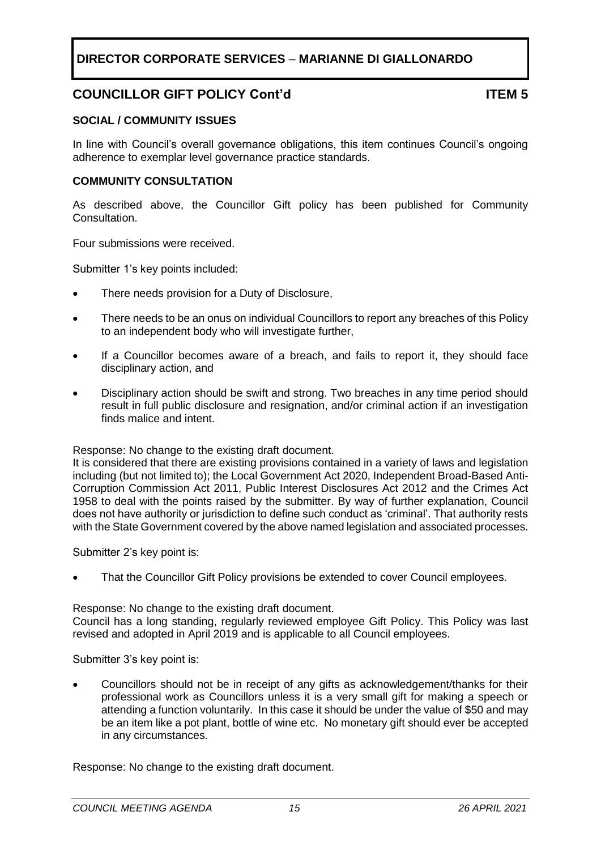# **COUNCILLOR GIFT POLICY Cont'd ITEM 5**

#### **SOCIAL / COMMUNITY ISSUES**

In line with Council's overall governance obligations, this item continues Council's ongoing adherence to exemplar level governance practice standards.

#### **COMMUNITY CONSULTATION**

As described above, the Councillor Gift policy has been published for Community Consultation.

Four submissions were received.

Submitter 1's key points included:

- There needs provision for a Duty of Disclosure,
- There needs to be an onus on individual Councillors to report any breaches of this Policy to an independent body who will investigate further,
- If a Councillor becomes aware of a breach, and fails to report it, they should face disciplinary action, and
- Disciplinary action should be swift and strong. Two breaches in any time period should result in full public disclosure and resignation, and/or criminal action if an investigation finds malice and intent.

Response: No change to the existing draft document.

It is considered that there are existing provisions contained in a variety of laws and legislation including (but not limited to); the Local Government Act 2020, Independent Broad-Based Anti-Corruption Commission Act 2011, Public Interest Disclosures Act 2012 and the Crimes Act 1958 to deal with the points raised by the submitter. By way of further explanation, Council does not have authority or jurisdiction to define such conduct as 'criminal'. That authority rests with the State Government covered by the above named legislation and associated processes.

Submitter 2's key point is:

That the Councillor Gift Policy provisions be extended to cover Council employees.

Response: No change to the existing draft document.

Council has a long standing, regularly reviewed employee Gift Policy. This Policy was last revised and adopted in April 2019 and is applicable to all Council employees.

Submitter 3's key point is:

• Councillors should not be in receipt of any gifts as acknowledgement/thanks for their professional work as Councillors unless it is a very small gift for making a speech or attending a function voluntarily. In this case it should be under the value of \$50 and may be an item like a pot plant, bottle of wine etc. No monetary gift should ever be accepted in any circumstances.

Response: No change to the existing draft document.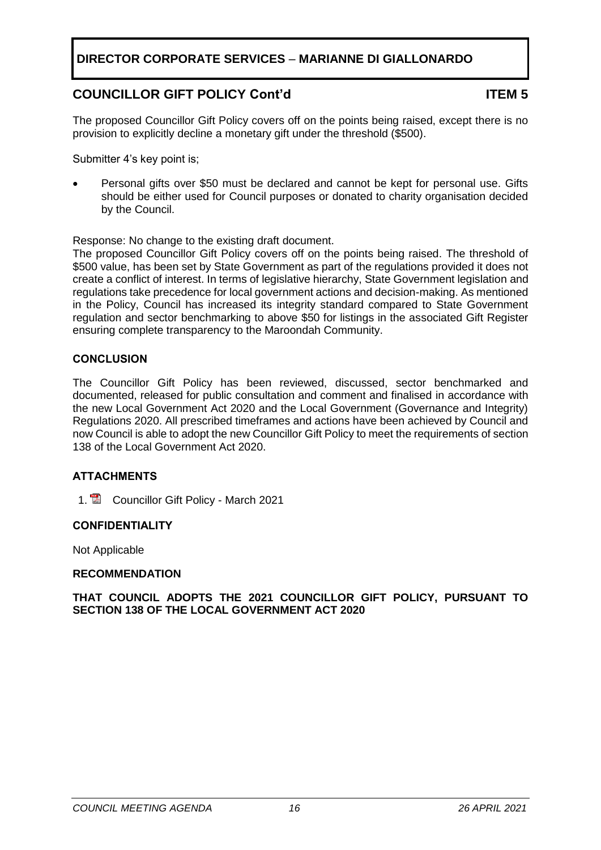# **COUNCILLOR GIFT POLICY Cont'd ITEM 5**

The proposed Councillor Gift Policy covers off on the points being raised, except there is no provision to explicitly decline a monetary gift under the threshold (\$500).

Submitter 4's key point is;

• Personal gifts over \$50 must be declared and cannot be kept for personal use. Gifts should be either used for Council purposes or donated to charity organisation decided by the Council.

Response: No change to the existing draft document.

The proposed Councillor Gift Policy covers off on the points being raised. The threshold of \$500 value, has been set by State Government as part of the regulations provided it does not create a conflict of interest. In terms of legislative hierarchy, State Government legislation and regulations take precedence for local government actions and decision-making. As mentioned in the Policy, Council has increased its integrity standard compared to State Government regulation and sector benchmarking to above \$50 for listings in the associated Gift Register ensuring complete transparency to the Maroondah Community.

#### **CONCLUSION**

The Councillor Gift Policy has been reviewed, discussed, sector benchmarked and documented, released for public consultation and comment and finalised in accordance with the new Local Government Act 2020 and the Local Government (Governance and Integrity) Regulations 2020. All prescribed timeframes and actions have been achieved by Council and now Council is able to adopt the new Councillor Gift Policy to meet the requirements of section 138 of the Local Government Act 2020.

## **ATTACHMENTS**

1. **E** Councillor Gift Policy - March 2021

#### **CONFIDENTIALITY**

Not Applicable

#### **RECOMMENDATION**

**THAT COUNCIL ADOPTS THE 2021 COUNCILLOR GIFT POLICY, PURSUANT TO SECTION 138 OF THE LOCAL GOVERNMENT ACT 2020**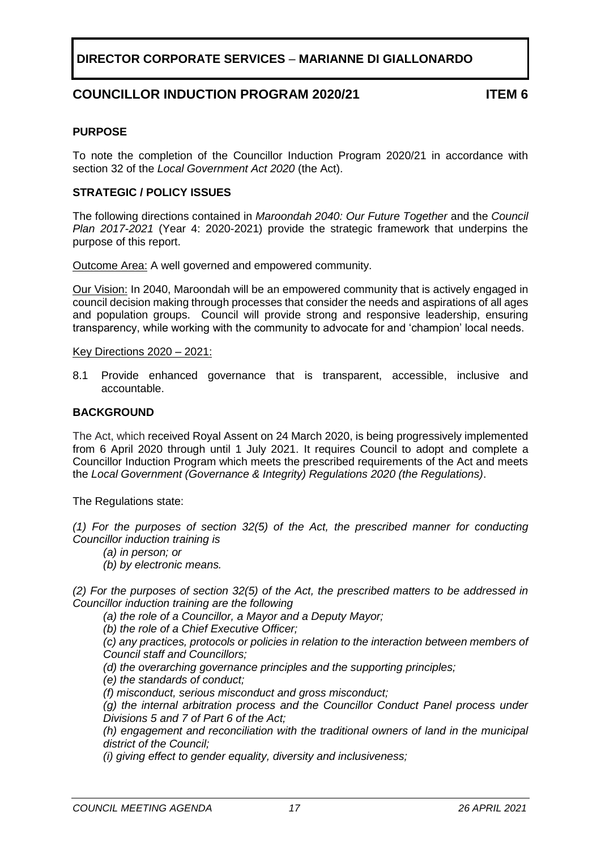## **COUNCILLOR INDUCTION PROGRAM 2020/21 ITEM 6**

#### <span id="page-16-0"></span>**PURPOSE**

To note the completion of the Councillor Induction Program 2020/21 in accordance with section 32 of the *Local Government Act 2020* (the Act).

#### **STRATEGIC / POLICY ISSUES**

The following directions contained in *Maroondah 2040: Our Future Together* and the *Council Plan 2017-2021* (Year 4: 2020-2021) provide the strategic framework that underpins the purpose of this report.

Outcome Area: A well governed and empowered community.

Our Vision: In 2040, Maroondah will be an empowered community that is actively engaged in council decision making through processes that consider the needs and aspirations of all ages and population groups. Council will provide strong and responsive leadership, ensuring transparency, while working with the community to advocate for and 'champion' local needs.

#### Key Directions 2020 – 2021:

8.1 Provide enhanced governance that is transparent, accessible, inclusive and accountable.

#### **BACKGROUND**

The Act, which received Royal Assent on 24 March 2020, is being progressively implemented from 6 April 2020 through until 1 July 2021. It requires Council to adopt and complete a Councillor Induction Program which meets the prescribed requirements of the Act and meets the *Local Government (Governance & Integrity) Regulations 2020 (the Regulations)*.

The Regulations state:

*(1) For the purposes of section 32(5) of the Act, the prescribed manner for conducting Councillor induction training is*

*(a) in person; or* 

*(b) by electronic means.* 

*(2) For the purposes of section 32(5) of the Act, the prescribed matters to be addressed in Councillor induction training are the following*

*(a) the role of a Councillor, a Mayor and a Deputy Mayor;* 

*(b) the role of a Chief Executive Officer;* 

*(c) any practices, protocols or policies in relation to the interaction between members of Council staff and Councillors;* 

*(d) the overarching governance principles and the supporting principles;* 

*(e) the standards of conduct;* 

*(f) misconduct, serious misconduct and gross misconduct;* 

*(g) the internal arbitration process and the Councillor Conduct Panel process under Divisions 5 and 7 of Part 6 of the Act;* 

*(h) engagement and reconciliation with the traditional owners of land in the municipal district of the Council;* 

*(i) giving effect to gender equality, diversity and inclusiveness;*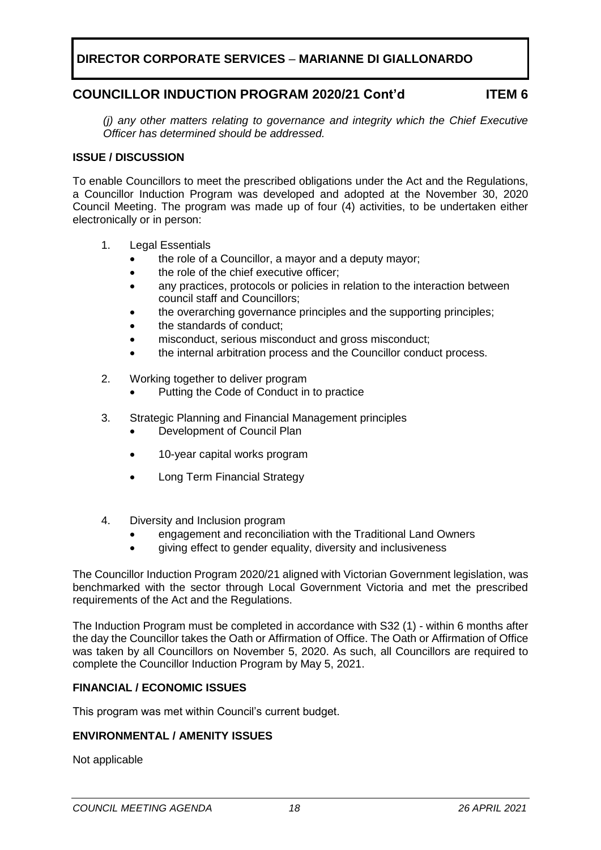## **COUNCILLOR INDUCTION PROGRAM 2020/21 Cont'd ITEM 6**

*(j) any other matters relating to governance and integrity which the Chief Executive Officer has determined should be addressed.*

#### **ISSUE / DISCUSSION**

To enable Councillors to meet the prescribed obligations under the Act and the Regulations, a Councillor Induction Program was developed and adopted at the November 30, 2020 Council Meeting. The program was made up of four (4) activities, to be undertaken either electronically or in person:

- 1. Legal Essentials
	- the role of a Councillor, a mayor and a deputy mayor;
	- the role of the chief executive officer;
	- any practices, protocols or policies in relation to the interaction between council staff and Councillors;
	- the overarching governance principles and the supporting principles;
	- the standards of conduct;
	- misconduct, serious misconduct and gross misconduct:
	- the internal arbitration process and the Councillor conduct process.
- 2. Working together to deliver program
	- Putting the Code of Conduct in to practice
- 3. Strategic Planning and Financial Management principles
	- Development of Council Plan
	- 10-year capital works program
	- Long Term Financial Strategy
- 4. Diversity and Inclusion program
	- engagement and reconciliation with the Traditional Land Owners
	- giving effect to gender equality, diversity and inclusiveness

The Councillor Induction Program 2020/21 aligned with Victorian Government legislation, was benchmarked with the sector through Local Government Victoria and met the prescribed requirements of the Act and the Regulations.

The Induction Program must be completed in accordance with S32 (1) - within 6 months after the day the Councillor takes the Oath or Affirmation of Office. The Oath or Affirmation of Office was taken by all Councillors on November 5, 2020. As such, all Councillors are required to complete the Councillor Induction Program by May 5, 2021.

## **FINANCIAL / ECONOMIC ISSUES**

This program was met within Council's current budget.

#### **ENVIRONMENTAL / AMENITY ISSUES**

Not applicable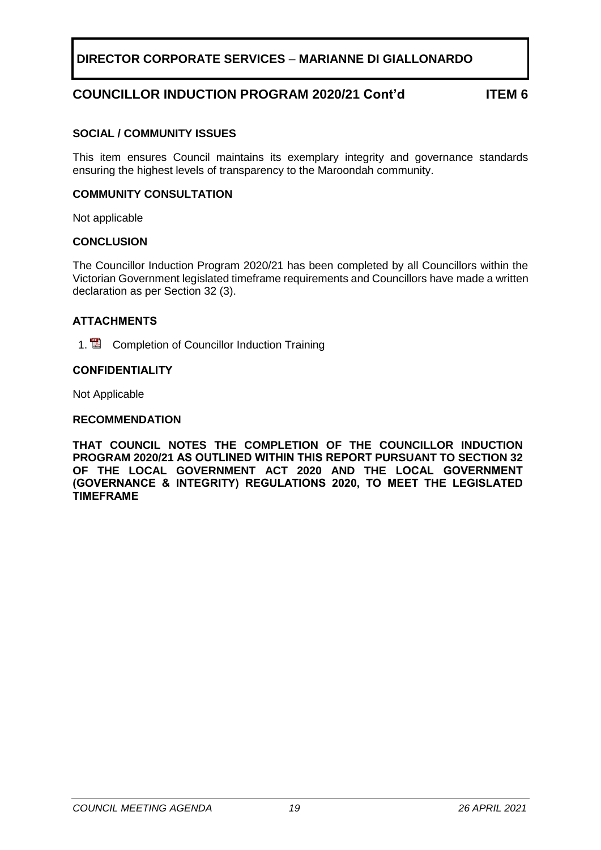## **COUNCILLOR INDUCTION PROGRAM 2020/21 Cont'd ITEM 6**

#### **SOCIAL / COMMUNITY ISSUES**

This item ensures Council maintains its exemplary integrity and governance standards ensuring the highest levels of transparency to the Maroondah community.

#### **COMMUNITY CONSULTATION**

Not applicable

#### **CONCLUSION**

The Councillor Induction Program 2020/21 has been completed by all Councillors within the Victorian Government legislated timeframe requirements and Councillors have made a written declaration as per Section 32 (3).

#### **ATTACHMENTS**

1. **2** Completion of Councillor Induction Training

#### **CONFIDENTIALITY**

Not Applicable

#### **RECOMMENDATION**

**THAT COUNCIL NOTES THE COMPLETION OF THE COUNCILLOR INDUCTION PROGRAM 2020/21 AS OUTLINED WITHIN THIS REPORT PURSUANT TO SECTION 32 OF THE LOCAL GOVERNMENT ACT 2020 AND THE LOCAL GOVERNMENT (GOVERNANCE & INTEGRITY) REGULATIONS 2020, TO MEET THE LEGISLATED TIMEFRAME**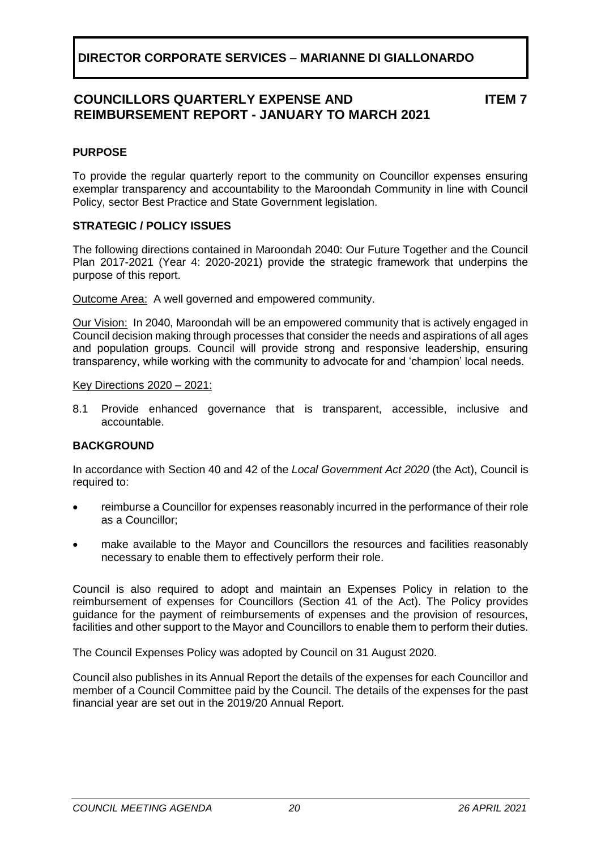## **COUNCILLORS QUARTERLY EXPENSE AND REIMBURSEMENT REPORT - JANUARY TO MARCH 2021**

**ITEM 7**

## <span id="page-19-0"></span>**PURPOSE**

To provide the regular quarterly report to the community on Councillor expenses ensuring exemplar transparency and accountability to the Maroondah Community in line with Council Policy, sector Best Practice and State Government legislation.

#### **STRATEGIC / POLICY ISSUES**

The following directions contained in Maroondah 2040: Our Future Together and the Council Plan 2017-2021 (Year 4: 2020-2021) provide the strategic framework that underpins the purpose of this report.

Outcome Area:A well governed and empowered community.

Our Vision:In 2040, Maroondah will be an empowered community that is actively engaged in Council decision making through processes that consider the needs and aspirations of all ages and population groups. Council will provide strong and responsive leadership, ensuring transparency, while working with the community to advocate for and 'champion' local needs.

#### Key Directions 2020 – 2021:

8.1 Provide enhanced governance that is transparent, accessible, inclusive and accountable.

#### **BACKGROUND**

In accordance with Section 40 and 42 of the *Local Government Act 2020* (the Act), Council is required to:

- reimburse a Councillor for expenses reasonably incurred in the performance of their role as a Councillor;
- make available to the Mayor and Councillors the resources and facilities reasonably necessary to enable them to effectively perform their role.

Council is also required to adopt and maintain an Expenses Policy in relation to the reimbursement of expenses for Councillors (Section 41 of the Act). The Policy provides guidance for the payment of reimbursements of expenses and the provision of resources, facilities and other support to the Mayor and Councillors to enable them to perform their duties.

The Council Expenses Policy was adopted by Council on 31 August 2020.

Council also publishes in its Annual Report the details of the expenses for each Councillor and member of a Council Committee paid by the Council. The details of the expenses for the past financial year are set out in the 2019/20 Annual Report.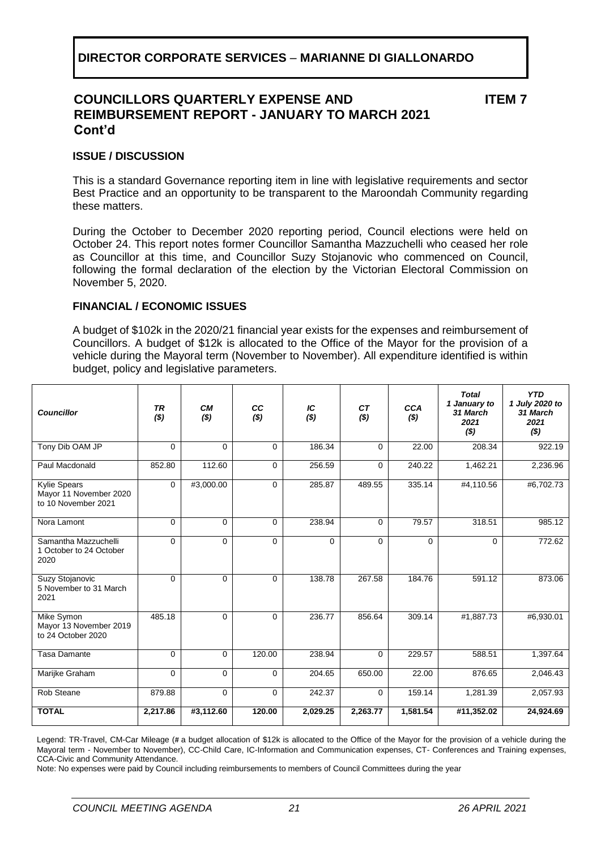## **COUNCILLORS QUARTERLY EXPENSE AND REIMBURSEMENT REPORT - JANUARY TO MARCH 2021 Cont'd**

**ITEM 7**

#### **ISSUE / DISCUSSION**

This is a standard Governance reporting item in line with legislative requirements and sector Best Practice and an opportunity to be transparent to the Maroondah Community regarding these matters.

During the October to December 2020 reporting period, Council elections were held on October 24. This report notes former Councillor Samantha Mazzuchelli who ceased her role as Councillor at this time, and Councillor Suzy Stojanovic who commenced on Council, following the formal declaration of the election by the Victorian Electoral Commission on November 5, 2020.

#### **FINANCIAL / ECONOMIC ISSUES**

A budget of \$102k in the 2020/21 financial year exists for the expenses and reimbursement of Councillors. A budget of \$12k is allocated to the Office of the Mayor for the provision of a vehicle during the Mayoral term (November to November). All expenditure identified is within budget, policy and legislative parameters.

| <b>Councillor</b>                                                    | <b>TR</b><br>( \$) | <b>CM</b><br>( \$) | cc<br>( \$) | IC<br>( \$) | <b>CT</b><br>( \$) | <b>CCA</b><br>$($ \$) | <b>Total</b><br>1 January to<br>31 March<br>2021<br>( \$) | <b>YTD</b><br>1 July 2020 to<br>31 March<br>2021<br>( \$) |
|----------------------------------------------------------------------|--------------------|--------------------|-------------|-------------|--------------------|-----------------------|-----------------------------------------------------------|-----------------------------------------------------------|
| Tony Dib OAM JP                                                      | $\Omega$           | $\Omega$           | $\Omega$    | 186.34      | $\Omega$           | 22.00                 | 208.34                                                    | 922.19                                                    |
| Paul Macdonald                                                       | 852.80             | 112.60             | 0           | 256.59      | $\mathbf 0$        | 240.22                | 1,462.21                                                  | 2,236.96                                                  |
| <b>Kylie Spears</b><br>Mayor 11 November 2020<br>to 10 November 2021 | $\mathbf 0$        | #3,000.00          | $\Omega$    | 285.87      | 489.55             | 335.14                | #4,110.56                                                 | #6,702.73                                                 |
| Nora Lamont                                                          | $\Omega$           | $\Omega$           | $\Omega$    | 238.94      | 0                  | 79.57                 | 318.51                                                    | 985.12                                                    |
| Samantha Mazzuchelli<br>1 October to 24 October<br>2020              | $\Omega$           | $\mathbf 0$        | $\Omega$    | $\Omega$    | $\Omega$           | $\Omega$              | $\Omega$                                                  | 772.62                                                    |
| Suzy Stojanovic<br>5 November to 31 March<br>2021                    | $\Omega$           | $\Omega$           | $\Omega$    | 138.78      | 267.58             | 184.76                | 591.12                                                    | 873.06                                                    |
| Mike Symon<br>Mayor 13 November 2019<br>to 24 October 2020           | 485.18             | $\Omega$           | $\Omega$    | 236.77      | 856.64             | 309.14                | #1,887.73                                                 | #6,930.01                                                 |
| <b>Tasa Damante</b>                                                  | $\Omega$           | $\Omega$           | 120.00      | 238.94      | $\Omega$           | 229.57                | 588.51                                                    | 1,397.64                                                  |
| Marijke Graham                                                       | $\Omega$           | $\Omega$           | $\Omega$    | 204.65      | 650.00             | 22.00                 | 876.65                                                    | 2,046.43                                                  |
| <b>Rob Steane</b>                                                    | 879.88             | $\Omega$           | 0           | 242.37      | 0                  | 159.14                | 1,281.39                                                  | 2,057.93                                                  |
| <b>TOTAL</b>                                                         | 2,217.86           | #3,112.60          | 120.00      | 2,029.25    | 2,263.77           | 1,581.54              | #11,352.02                                                | 24,924.69                                                 |

Legend: TR-Travel, CM-Car Mileage (# a budget allocation of \$12k is allocated to the Office of the Mayor for the provision of a vehicle during the Mayoral term - November to November), CC-Child Care, IC-Information and Communication expenses, CT- Conferences and Training expenses, CCA-Civic and Community Attendance.

Note: No expenses were paid by Council including reimbursements to members of Council Committees during the year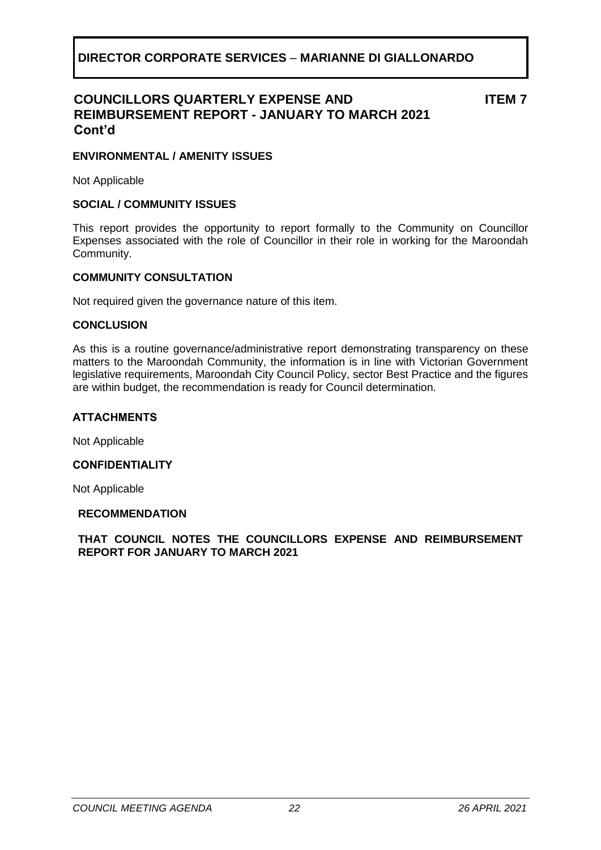## **COUNCILLORS QUARTERLY EXPENSE AND REIMBURSEMENT REPORT - JANUARY TO MARCH 2021 Cont'd**

**ITEM 7**

#### **ENVIRONMENTAL / AMENITY ISSUES**

Not Applicable

#### **SOCIAL / COMMUNITY ISSUES**

This report provides the opportunity to report formally to the Community on Councillor Expenses associated with the role of Councillor in their role in working for the Maroondah Community.

#### **COMMUNITY CONSULTATION**

Not required given the governance nature of this item.

#### **CONCLUSION**

As this is a routine governance/administrative report demonstrating transparency on these matters to the Maroondah Community, the information is in line with Victorian Government legislative requirements, Maroondah City Council Policy, sector Best Practice and the figures are within budget, the recommendation is ready for Council determination.

#### **ATTACHMENTS**

Not Applicable

#### **CONFIDENTIALITY**

Not Applicable

#### **RECOMMENDATION**

**THAT COUNCIL NOTES THE COUNCILLORS EXPENSE AND REIMBURSEMENT REPORT FOR JANUARY TO MARCH 2021**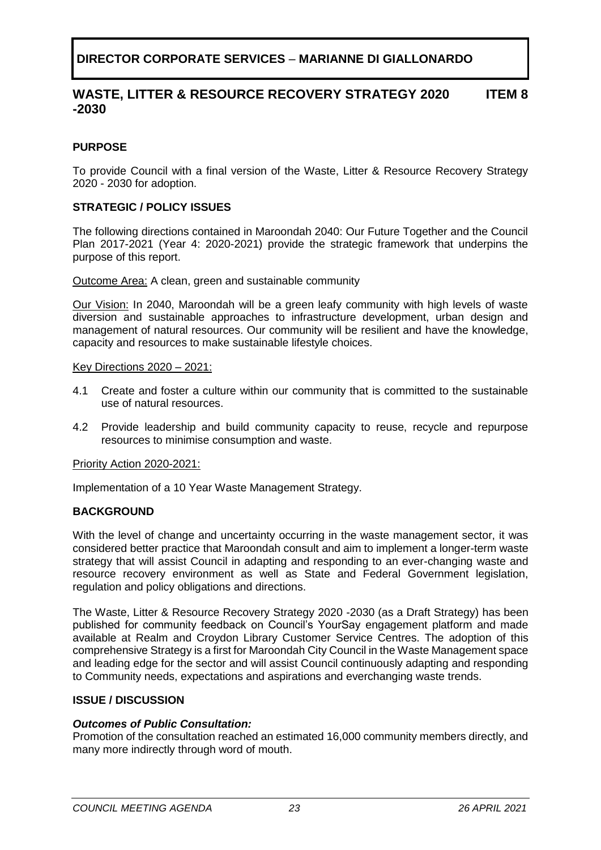#### **WASTE, LITTER & RESOURCE RECOVERY STRATEGY 2020 -2030 ITEM 8**

## <span id="page-22-0"></span>**PURPOSE**

To provide Council with a final version of the Waste, Litter & Resource Recovery Strategy 2020 - 2030 for adoption.

#### **STRATEGIC / POLICY ISSUES**

The following directions contained in Maroondah 2040: Our Future Together and the Council Plan 2017-2021 (Year 4: 2020-2021) provide the strategic framework that underpins the purpose of this report.

Outcome Area: A clean, green and sustainable community

Our Vision: In 2040, Maroondah will be a green leafy community with high levels of waste diversion and sustainable approaches to infrastructure development, urban design and management of natural resources. Our community will be resilient and have the knowledge, capacity and resources to make sustainable lifestyle choices.

Key Directions 2020 – 2021:

- 4.1 Create and foster a culture within our community that is committed to the sustainable use of natural resources.
- 4.2 Provide leadership and build community capacity to reuse, recycle and repurpose resources to minimise consumption and waste.

#### Priority Action 2020-2021:

Implementation of a 10 Year Waste Management Strategy.

#### **BACKGROUND**

With the level of change and uncertainty occurring in the waste management sector, it was considered better practice that Maroondah consult and aim to implement a longer-term waste strategy that will assist Council in adapting and responding to an ever-changing waste and resource recovery environment as well as State and Federal Government legislation, regulation and policy obligations and directions.

The Waste, Litter & Resource Recovery Strategy 2020 -2030 (as a Draft Strategy) has been published for community feedback on Council's YourSay engagement platform and made available at Realm and Croydon Library Customer Service Centres. The adoption of this comprehensive Strategy is a first for Maroondah City Council in the Waste Management space and leading edge for the sector and will assist Council continuously adapting and responding to Community needs, expectations and aspirations and everchanging waste trends.

#### **ISSUE / DISCUSSION**

#### *Outcomes of Public Consultation:*

Promotion of the consultation reached an estimated 16,000 community members directly, and many more indirectly through word of mouth.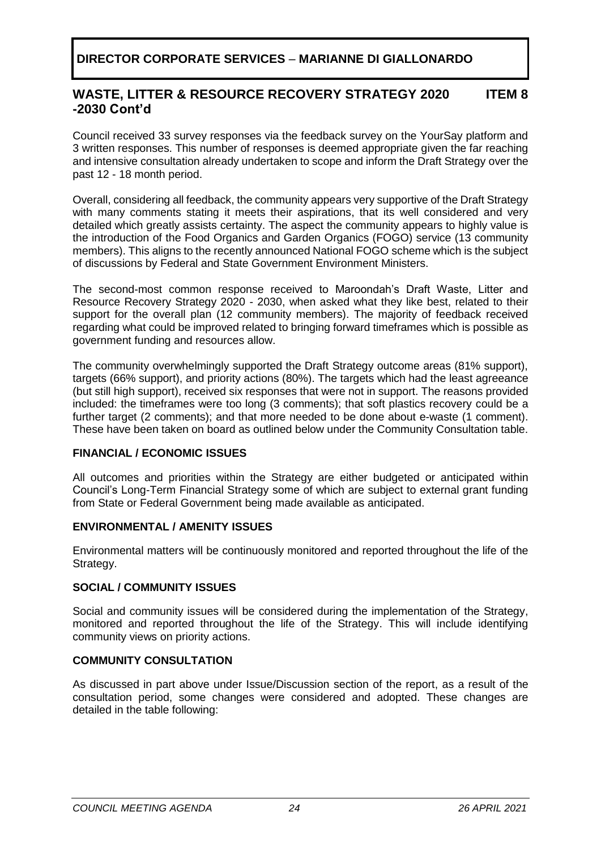#### **WASTE, LITTER & RESOURCE RECOVERY STRATEGY 2020 -2030 Cont'd ITEM 8**

Council received 33 survey responses via the feedback survey on the YourSay platform and 3 written responses. This number of responses is deemed appropriate given the far reaching and intensive consultation already undertaken to scope and inform the Draft Strategy over the past 12 - 18 month period.

Overall, considering all feedback, the community appears very supportive of the Draft Strategy with many comments stating it meets their aspirations, that its well considered and very detailed which greatly assists certainty. The aspect the community appears to highly value is the introduction of the Food Organics and Garden Organics (FOGO) service (13 community members). This aligns to the recently announced National FOGO scheme which is the subject of discussions by Federal and State Government Environment Ministers.

The second-most common response received to Maroondah's Draft Waste, Litter and Resource Recovery Strategy 2020 - 2030, when asked what they like best, related to their support for the overall plan (12 community members). The majority of feedback received regarding what could be improved related to bringing forward timeframes which is possible as government funding and resources allow.

The community overwhelmingly supported the Draft Strategy outcome areas (81% support), targets (66% support), and priority actions (80%). The targets which had the least agreeance (but still high support), received six responses that were not in support. The reasons provided included: the timeframes were too long (3 comments); that soft plastics recovery could be a further target (2 comments); and that more needed to be done about e-waste (1 comment). These have been taken on board as outlined below under the Community Consultation table.

## **FINANCIAL / ECONOMIC ISSUES**

All outcomes and priorities within the Strategy are either budgeted or anticipated within Council's Long-Term Financial Strategy some of which are subject to external grant funding from State or Federal Government being made available as anticipated.

## **ENVIRONMENTAL / AMENITY ISSUES**

Environmental matters will be continuously monitored and reported throughout the life of the Strategy.

## **SOCIAL / COMMUNITY ISSUES**

Social and community issues will be considered during the implementation of the Strategy, monitored and reported throughout the life of the Strategy. This will include identifying community views on priority actions.

## **COMMUNITY CONSULTATION**

As discussed in part above under Issue/Discussion section of the report, as a result of the consultation period, some changes were considered and adopted. These changes are detailed in the table following: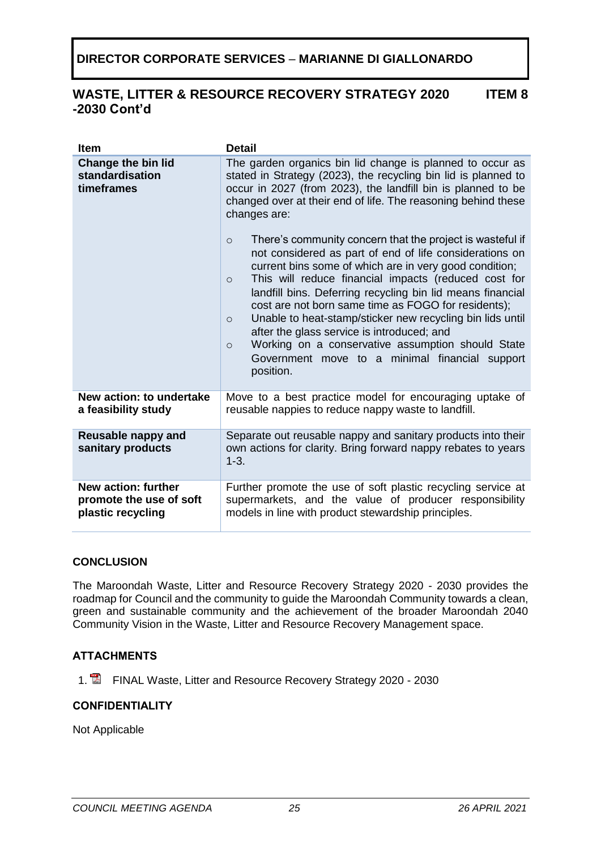#### **WASTE, LITTER & RESOURCE RECOVERY STRATEGY 2020 -2030 Cont'd ITEM 8**

| <b>Item</b>                                                         | <b>Detail</b>                                                                                                                                                                                                                                                                                                                                                                                                                                                                                                                                                                                                                           |
|---------------------------------------------------------------------|-----------------------------------------------------------------------------------------------------------------------------------------------------------------------------------------------------------------------------------------------------------------------------------------------------------------------------------------------------------------------------------------------------------------------------------------------------------------------------------------------------------------------------------------------------------------------------------------------------------------------------------------|
| <b>Change the bin lid</b><br>standardisation<br>timeframes          | The garden organics bin lid change is planned to occur as<br>stated in Strategy (2023), the recycling bin lid is planned to<br>occur in 2027 (from 2023), the landfill bin is planned to be<br>changed over at their end of life. The reasoning behind these<br>changes are:                                                                                                                                                                                                                                                                                                                                                            |
|                                                                     | There's community concern that the project is wasteful if<br>$\circ$<br>not considered as part of end of life considerations on<br>current bins some of which are in very good condition;<br>This will reduce financial impacts (reduced cost for<br>$\circ$<br>landfill bins. Deferring recycling bin lid means financial<br>cost are not born same time as FOGO for residents);<br>Unable to heat-stamp/sticker new recycling bin lids until<br>$\circ$<br>after the glass service is introduced; and<br>Working on a conservative assumption should State<br>$\Omega$<br>Government move to a minimal financial support<br>position. |
| New action: to undertake<br>a feasibility study                     | Move to a best practice model for encouraging uptake of<br>reusable nappies to reduce nappy waste to landfill.                                                                                                                                                                                                                                                                                                                                                                                                                                                                                                                          |
| Reusable nappy and<br>sanitary products                             | Separate out reusable nappy and sanitary products into their<br>own actions for clarity. Bring forward nappy rebates to years<br>$1 - 3.$                                                                                                                                                                                                                                                                                                                                                                                                                                                                                               |
| New action: further<br>promote the use of soft<br>plastic recycling | Further promote the use of soft plastic recycling service at<br>supermarkets, and the value of producer responsibility<br>models in line with product stewardship principles.                                                                                                                                                                                                                                                                                                                                                                                                                                                           |

## **CONCLUSION**

The Maroondah Waste, Litter and Resource Recovery Strategy 2020 - 2030 provides the roadmap for Council and the community to guide the Maroondah Community towards a clean, green and sustainable community and the achievement of the broader Maroondah 2040 Community Vision in the Waste, Litter and Resource Recovery Management space.

## **ATTACHMENTS**

1. **E** FINAL Waste, Litter and Resource Recovery Strategy 2020 - 2030

## **CONFIDENTIALITY**

Not Applicable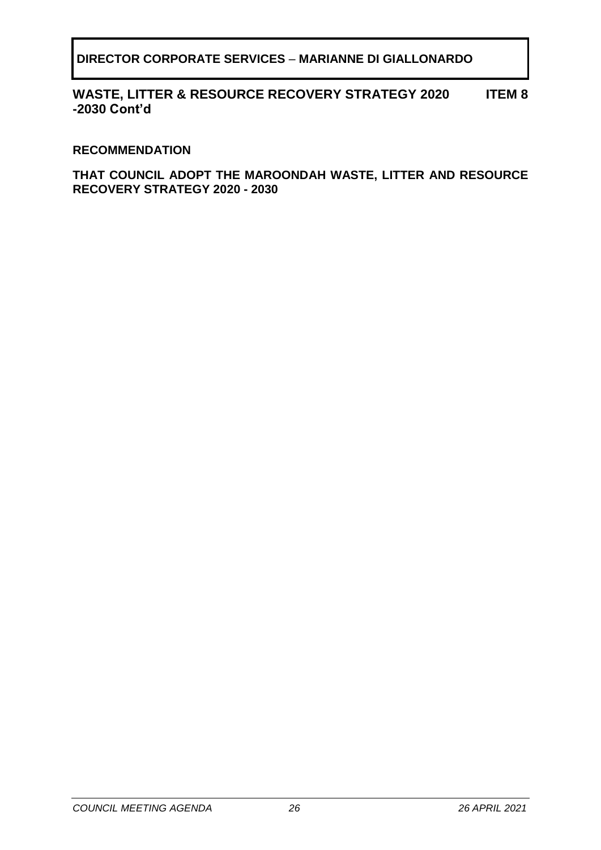#### **WASTE, LITTER & RESOURCE RECOVERY STRATEGY 2020 -2030 Cont'd ITEM 8**

## **RECOMMENDATION**

**THAT COUNCIL ADOPT THE MAROONDAH WASTE, LITTER AND RESOURCE RECOVERY STRATEGY 2020 - 2030**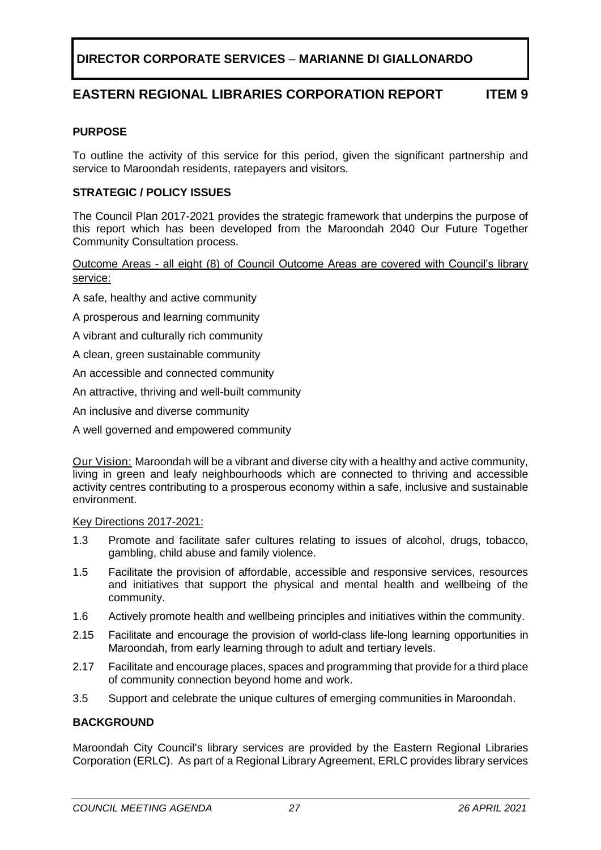# **EASTERN REGIONAL LIBRARIES CORPORATION REPORT ITEM 9**

#### <span id="page-26-0"></span>**PURPOSE**

To outline the activity of this service for this period, given the significant partnership and service to Maroondah residents, ratepayers and visitors.

#### **STRATEGIC / POLICY ISSUES**

The Council Plan 2017-2021 provides the strategic framework that underpins the purpose of this report which has been developed from the Maroondah 2040 Our Future Together Community Consultation process.

Outcome Areas - all eight (8) of Council Outcome Areas are covered with Council's library service:

- A safe, healthy and active community
- A prosperous and learning community
- A vibrant and culturally rich community
- A clean, green sustainable community
- An accessible and connected community
- An attractive, thriving and well-built community
- An inclusive and diverse community
- A well governed and empowered community

Our Vision: Maroondah will be a vibrant and diverse city with a healthy and active community, living in green and leafy neighbourhoods which are connected to thriving and accessible activity centres contributing to a prosperous economy within a safe, inclusive and sustainable environment.

#### Key Directions 2017-2021:

- 1.3 Promote and facilitate safer cultures relating to issues of alcohol, drugs, tobacco, gambling, child abuse and family violence.
- 1.5 Facilitate the provision of affordable, accessible and responsive services, resources and initiatives that support the physical and mental health and wellbeing of the community.
- 1.6 Actively promote health and wellbeing principles and initiatives within the community.
- 2.15 Facilitate and encourage the provision of world-class life-long learning opportunities in Maroondah, from early learning through to adult and tertiary levels.
- 2.17 Facilitate and encourage places, spaces and programming that provide for a third place of community connection beyond home and work.
- 3.5 Support and celebrate the unique cultures of emerging communities in Maroondah.

#### **BACKGROUND**

Maroondah City Council's library services are provided by the Eastern Regional Libraries Corporation (ERLC). As part of a Regional Library Agreement, ERLC provides library services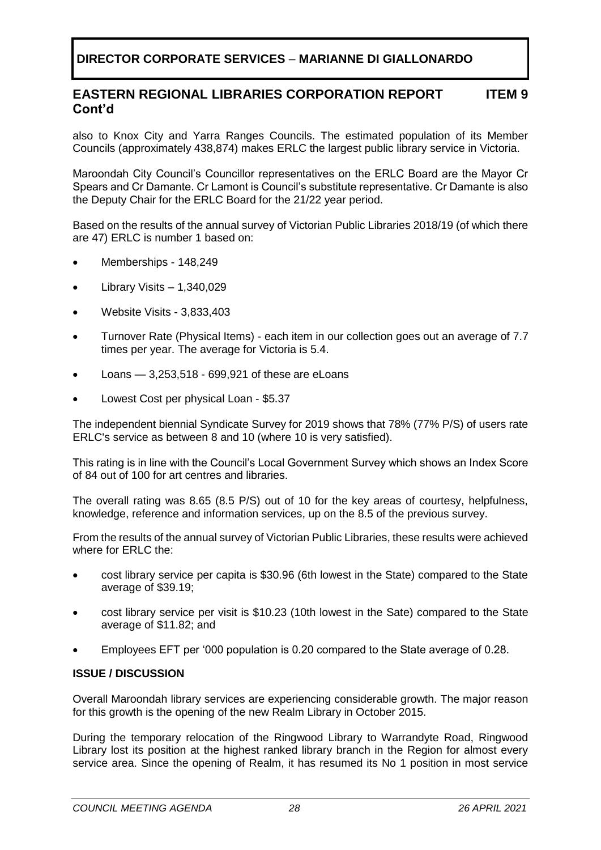#### **EASTERN REGIONAL LIBRARIES CORPORATION REPORT Cont'd ITEM 9**

also to Knox City and Yarra Ranges Councils. The estimated population of its Member Councils (approximately 438,874) makes ERLC the largest public library service in Victoria.

Maroondah City Council's Councillor representatives on the ERLC Board are the Mayor Cr Spears and Cr Damante. Cr Lamont is Council's substitute representative. Cr Damante is also the Deputy Chair for the ERLC Board for the 21/22 year period.

Based on the results of the annual survey of Victorian Public Libraries 2018/19 (of which there are 47) ERLC is number 1 based on:

- Memberships 148,249
- Library Visits 1,340,029
- Website Visits 3,833,403
- Turnover Rate (Physical Items) each item in our collection goes out an average of 7.7 times per year. The average for Victoria is 5.4.
- Loans 3,253,518 699,921 of these are eLoans
- Lowest Cost per physical Loan \$5.37

The independent biennial Syndicate Survey for 2019 shows that 78% (77% P/S) of users rate ERLC's service as between 8 and 10 (where 10 is very satisfied).

This rating is in line with the Council's Local Government Survey which shows an Index Score of 84 out of 100 for art centres and libraries.

The overall rating was 8.65 (8.5 P/S) out of 10 for the key areas of courtesy, helpfulness, knowledge, reference and information services, up on the 8.5 of the previous survey.

From the results of the annual survey of Victorian Public Libraries, these results were achieved where for FRI C the:

- cost library service per capita is \$30.96 (6th lowest in the State) compared to the State average of \$39.19;
- cost library service per visit is \$10.23 (10th lowest in the Sate) compared to the State average of \$11.82; and
- Employees EFT per '000 population is 0.20 compared to the State average of 0.28.

#### **ISSUE / DISCUSSION**

Overall Maroondah library services are experiencing considerable growth. The major reason for this growth is the opening of the new Realm Library in October 2015.

During the temporary relocation of the Ringwood Library to Warrandyte Road, Ringwood Library lost its position at the highest ranked library branch in the Region for almost every service area. Since the opening of Realm, it has resumed its No 1 position in most service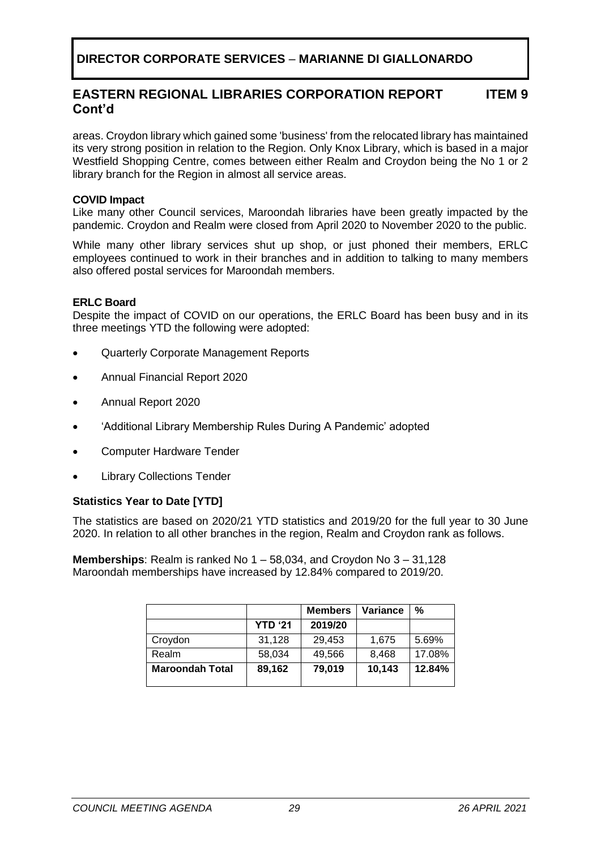#### **EASTERN REGIONAL LIBRARIES CORPORATION REPORT Cont'd ITEM 9**

areas. Croydon library which gained some 'business' from the relocated library has maintained its very strong position in relation to the Region. Only Knox Library, which is based in a major Westfield Shopping Centre, comes between either Realm and Croydon being the No 1 or 2 library branch for the Region in almost all service areas.

#### **COVID Impact**

Like many other Council services, Maroondah libraries have been greatly impacted by the pandemic. Croydon and Realm were closed from April 2020 to November 2020 to the public.

While many other library services shut up shop, or just phoned their members, ERLC employees continued to work in their branches and in addition to talking to many members also offered postal services for Maroondah members.

#### **ERLC Board**

Despite the impact of COVID on our operations, the ERLC Board has been busy and in its three meetings YTD the following were adopted:

- Quarterly Corporate Management Reports
- Annual Financial Report 2020
- Annual Report 2020
- 'Additional Library Membership Rules During A Pandemic' adopted
- Computer Hardware Tender
- **Library Collections Tender**

#### **Statistics Year to Date [YTD]**

The statistics are based on 2020/21 YTD statistics and 2019/20 for the full year to 30 June 2020. In relation to all other branches in the region, Realm and Croydon rank as follows.

**Memberships**: Realm is ranked No 1 – 58,034, and Croydon No 3 – 31,128 Maroondah memberships have increased by 12.84% compared to 2019/20.

|                        |                | <b>Members</b> | Variance | %      |
|------------------------|----------------|----------------|----------|--------|
|                        | <b>YTD '21</b> | 2019/20        |          |        |
| Croydon                | 31,128         | 29,453         | 1,675    | 5.69%  |
| Realm                  | 58,034         | 49,566         | 8,468    | 17.08% |
| <b>Maroondah Total</b> | 89,162         | 79,019         | 10,143   | 12.84% |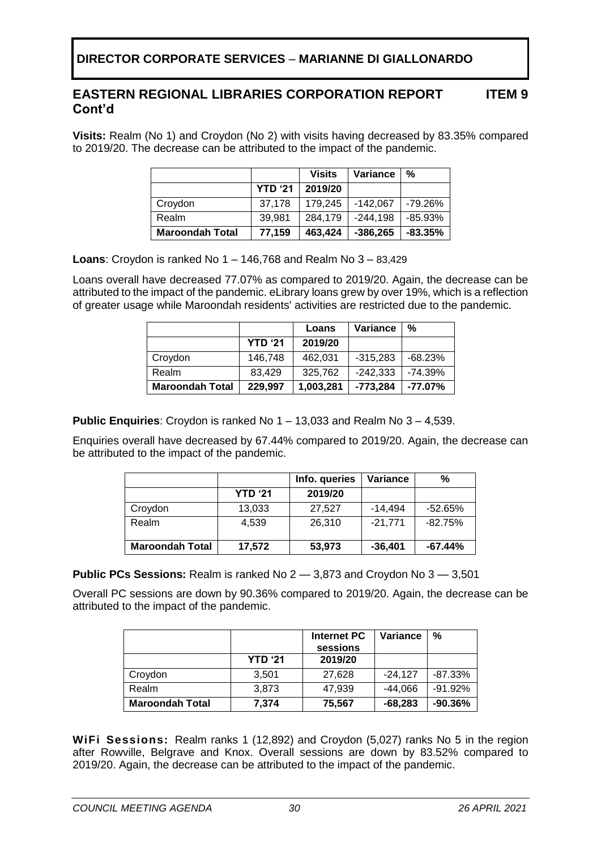**ITEM 9**

**Visits:** Realm (No 1) and Croydon (No 2) with visits having decreased by 83.35% compared to 2019/20. The decrease can be attributed to the impact of the pandemic.

|                        |                | <b>Visits</b> | Variance   | %         |
|------------------------|----------------|---------------|------------|-----------|
|                        | <b>YTD '21</b> | 2019/20       |            |           |
| Croydon                | 37,178         | 179,245       | $-142.067$ | -79.26%   |
| Realm                  | 39,981         | 284,179       | $-244,198$ | $-85.93%$ |
| <b>Maroondah Total</b> | 77,159         | 463,424       | $-386,265$ | $-83.35%$ |

**Loans**: Croydon is ranked No 1 – 146,768 and Realm No 3 – 83,429

Loans overall have decreased 77.07% as compared to 2019/20. Again, the decrease can be attributed to the impact of the pandemic. eLibrary loans grew by over 19%, which is a reflection of greater usage while Maroondah residents' activities are restricted due to the pandemic.

|                        |                | Loans     | Variance   | %          |
|------------------------|----------------|-----------|------------|------------|
|                        | <b>YTD '21</b> | 2019/20   |            |            |
| Croydon                | 146.748        | 462,031   | $-315,283$ | $-68.23%$  |
| Realm                  | 83.429         | 325,762   | $-242,333$ | $-74.39%$  |
| <b>Maroondah Total</b> | 229,997        | 1,003,281 | -773,284   | $-77.07\%$ |

**Public Enquiries**: Croydon is ranked No 1 – 13,033 and Realm No 3 – 4,539.

Enquiries overall have decreased by 67.44% compared to 2019/20. Again, the decrease can be attributed to the impact of the pandemic.

|                        |                | Info. queries | Variance  | %         |
|------------------------|----------------|---------------|-----------|-----------|
|                        | <b>YTD '21</b> | 2019/20       |           |           |
| Croydon                | 13,033         | 27,527        | $-14.494$ | $-52.65%$ |
| Realm                  | 4.539          | 26,310        | $-21.771$ | $-82.75%$ |
| <b>Maroondah Total</b> | 17,572         | 53,973        | $-36,401$ | $-67.44%$ |

**Public PCs Sessions:** Realm is ranked No 2 — 3,873 and Croydon No 3 — 3,501

Overall PC sessions are down by 90.36% compared to 2019/20. Again, the decrease can be attributed to the impact of the pandemic.

|                        |                | Internet PC<br>sessions | Variance  | %         |
|------------------------|----------------|-------------------------|-----------|-----------|
|                        | <b>YTD '21</b> | 2019/20                 |           |           |
| Croydon                | 3,501          | 27,628                  | $-24.127$ | $-87.33%$ |
| Realm                  | 3,873          | 47,939                  | $-44,066$ | $-91.92%$ |
| <b>Maroondah Total</b> | 7,374          | 75,567                  | $-68,283$ | $-90.36%$ |

**WiFi Sessions:** Realm ranks 1 (12,892) and Croydon (5,027) ranks No 5 in the region after Rowville, Belgrave and Knox. Overall sessions are down by 83.52% compared to 2019/20. Again, the decrease can be attributed to the impact of the pandemic.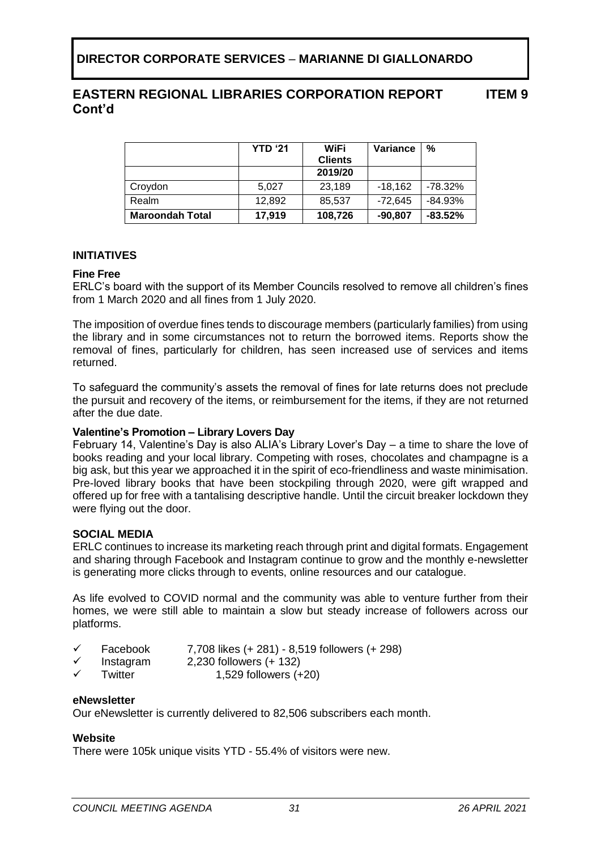|                        | <b>YTD '21</b> | WiFi           | Variance  | %          |
|------------------------|----------------|----------------|-----------|------------|
|                        |                | <b>Clients</b> |           |            |
|                        |                | 2019/20        |           |            |
| Croydon                | 5,027          | 23,189         | $-18.162$ | -78.32%    |
| Realm                  | 12,892         | 85,537         | $-72,645$ | $-84.93%$  |
| <b>Maroondah Total</b> | 17,919         | 108,726        | $-90,807$ | $-83.52\%$ |

#### **INITIATIVES**

#### **Fine Free**

ERLC's board with the support of its Member Councils resolved to remove all children's fines from 1 March 2020 and all fines from 1 July 2020.

The imposition of overdue fines tends to discourage members (particularly families) from using the library and in some circumstances not to return the borrowed items. Reports show the removal of fines, particularly for children, has seen increased use of services and items returned.

To safeguard the community's assets the removal of fines for late returns does not preclude the pursuit and recovery of the items, or reimbursement for the items, if they are not returned after the due date.

#### **Valentine's Promotion – Library Lovers Day**

February 14, Valentine's Day is also ALIA's Library Lover's Day – a time to share the love of books reading and your local library. Competing with roses, chocolates and champagne is a big ask, but this year we approached it in the spirit of eco-friendliness and waste minimisation. Pre-loved library books that have been stockpiling through 2020, were gift wrapped and offered up for free with a tantalising descriptive handle. Until the circuit breaker lockdown they were flying out the door.

#### **SOCIAL MEDIA**

ERLC continues to increase its marketing reach through print and digital formats. Engagement and sharing through Facebook and Instagram continue to grow and the monthly e-newsletter is generating more clicks through to events, online resources and our catalogue.

As life evolved to COVID normal and the community was able to venture further from their homes, we were still able to maintain a slow but steady increase of followers across our platforms.

- ✓ Facebook 7,708 likes (+ 281) 8,519 followers (+ 298)
- $\checkmark$  Instagram 2,230 followers (+ 132)
- Twitter 1,529 followers (+20)

#### **eNewsletter**

Our eNewsletter is currently delivered to 82,506 subscribers each month.

#### **Website**

There were 105k unique visits YTD - 55.4% of visitors were new.

**ITEM 9**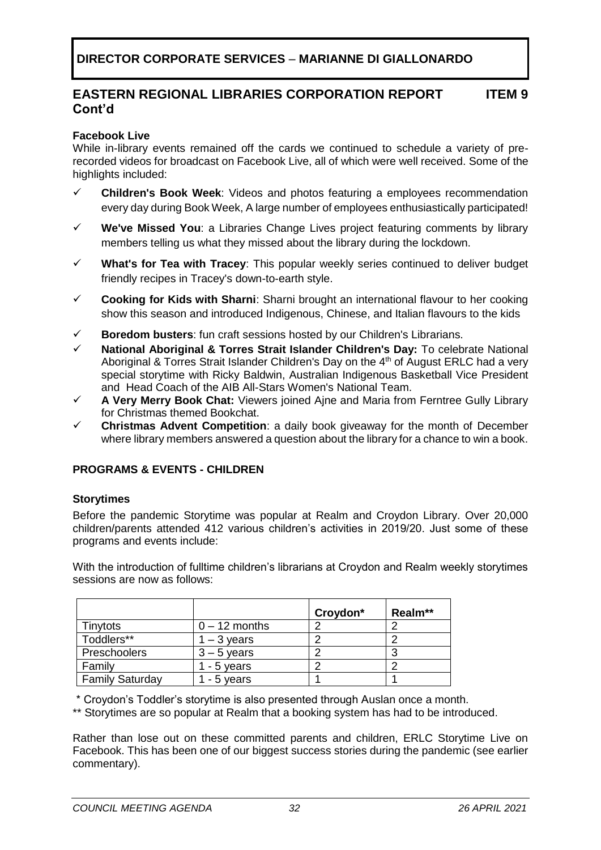## **Facebook Live**

While in-library events remained off the cards we continued to schedule a variety of prerecorded videos for broadcast on Facebook Live, all of which were well received. Some of the highlights included:

- **Children's Book Week**: Videos and photos featuring a employees recommendation every day during Book Week, A large number of employees enthusiastically participated!
- ✓ **We've Missed You**: a Libraries Change Lives project featuring comments by library members telling us what they missed about the library during the lockdown.
- ✓ **What's for Tea with Tracey**: This popular weekly series continued to deliver budget friendly recipes in Tracey's down-to-earth style.
- ✓ **Cooking for Kids with Sharni**: Sharni brought an international flavour to her cooking show this season and introduced Indigenous, Chinese, and Italian flavours to the kids
- ✓ **Boredom busters**: fun craft sessions hosted by our Children's Librarians.
- **National Aboriginal & Torres Strait Islander Children's Day: To celebrate National** Aboriginal & Torres Strait Islander Children's Day on the 4<sup>th</sup> of August ERLC had a very special storytime with Ricky Baldwin, Australian Indigenous Basketball Vice President and Head Coach of the AIB All-Stars Women's National Team.
- ✓ **A Very Merry Book Chat:** Viewers joined Ajne and Maria from Ferntree Gully Library for Christmas themed Bookchat.
- **Christmas Advent Competition:** a daily book giveaway for the month of December where library members answered a question about the library for a chance to win a book.

## **PROGRAMS & EVENTS - CHILDREN**

## **Storytimes**

Before the pandemic Storytime was popular at Realm and Croydon Library. Over 20,000 children/parents attended 412 various children's activities in 2019/20. Just some of these programs and events include:

With the introduction of fulltime children's librarians at Croydon and Realm weekly storytimes sessions are now as follows:

|                        |                 | Croydon* | Realm** |
|------------------------|-----------------|----------|---------|
| Tinytots               | $0 - 12$ months |          |         |
| Toddlers**             | $1 - 3$ years   |          |         |
| Preschoolers           | $3 - 5$ years   |          |         |
| Family                 | - 5 years       |          |         |
| <b>Family Saturday</b> | - 5 years       |          |         |

\* Croydon's Toddler's storytime is also presented through Auslan once a month.

\*\* Storytimes are so popular at Realm that a booking system has had to be introduced.

Rather than lose out on these committed parents and children, ERLC Storytime Live on Facebook. This has been one of our biggest success stories during the pandemic (see earlier commentary).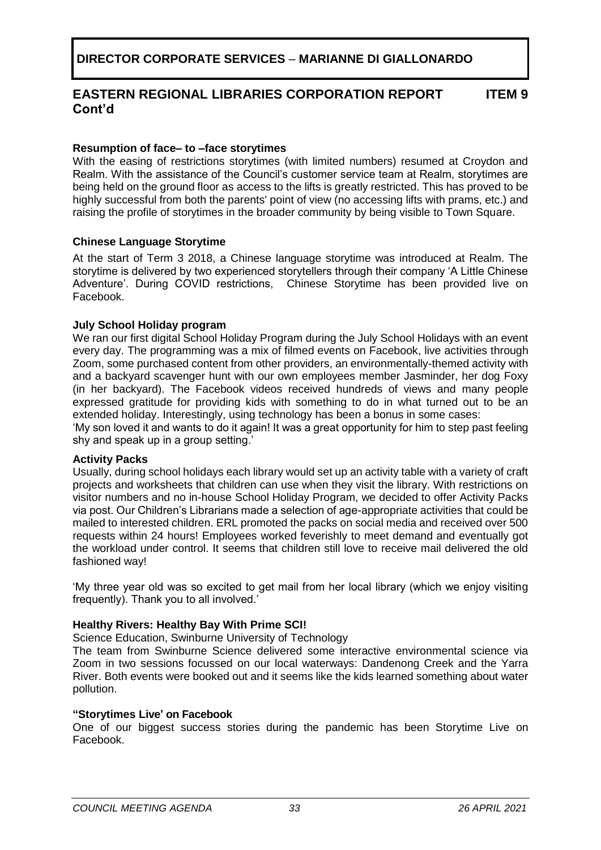**ITEM 9**

#### **Resumption of face– to –face storytimes**

With the easing of restrictions storytimes (with limited numbers) resumed at Croydon and Realm. With the assistance of the Council's customer service team at Realm, storytimes are being held on the ground floor as access to the lifts is greatly restricted. This has proved to be highly successful from both the parents' point of view (no accessing lifts with prams, etc.) and raising the profile of storytimes in the broader community by being visible to Town Square.

## **Chinese Language Storytime**

At the start of Term 3 2018, a Chinese language storytime was introduced at Realm. The storytime is delivered by two experienced storytellers through their company 'A Little Chinese Adventure'. During COVID restrictions, Chinese Storytime has been provided live on Facebook.

#### **July School Holiday program**

We ran our first digital School Holiday Program during the July School Holidays with an event every day. The programming was a mix of filmed events on Facebook, live activities through Zoom, some purchased content from other providers, an environmentally-themed activity with and a backyard scavenger hunt with our own employees member Jasminder, her dog Foxy (in her backyard). The Facebook videos received hundreds of views and many people expressed gratitude for providing kids with something to do in what turned out to be an extended holiday. Interestingly, using technology has been a bonus in some cases:

'My son loved it and wants to do it again! It was a great opportunity for him to step past feeling shy and speak up in a group setting.'

#### **Activity Packs**

Usually, during school holidays each library would set up an activity table with a variety of craft projects and worksheets that children can use when they visit the library. With restrictions on visitor numbers and no in-house School Holiday Program, we decided to offer Activity Packs via post. Our Children's Librarians made a selection of age-appropriate activities that could be mailed to interested children. ERL promoted the packs on social media and received over 500 requests within 24 hours! Employees worked feverishly to meet demand and eventually got the workload under control. It seems that children still love to receive mail delivered the old fashioned way!

'My three year old was so excited to get mail from her local library (which we enjoy visiting frequently). Thank you to all involved.'

## **Healthy Rivers: Healthy Bay With Prime SCI!**

Science Education, Swinburne University of Technology

The team from Swinburne Science delivered some interactive environmental science via Zoom in two sessions focussed on our local waterways: Dandenong Creek and the Yarra River. Both events were booked out and it seems like the kids learned something about water pollution.

#### **"Storytimes Live' on Facebook**

One of our biggest success stories during the pandemic has been Storytime Live on Facebook.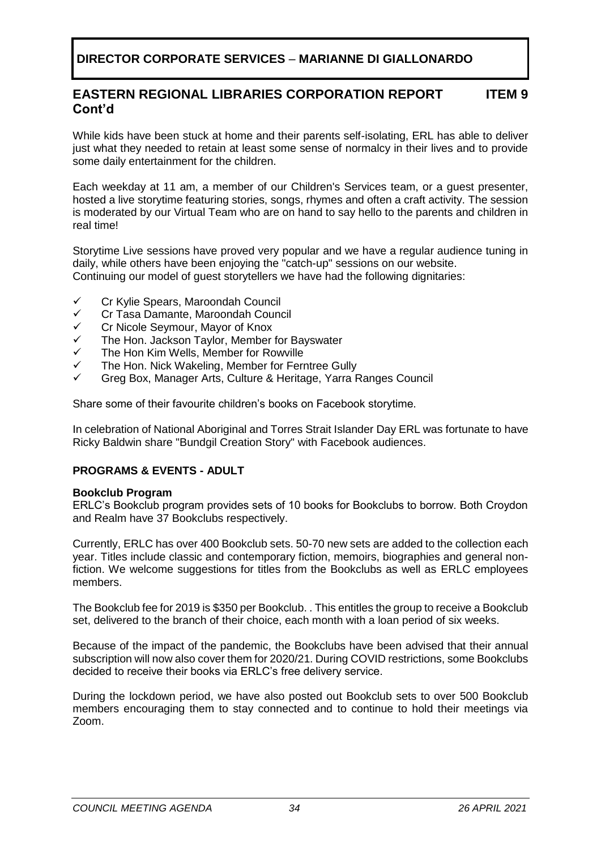#### **EASTERN REGIONAL LIBRARIES CORPORATION REPORT Cont'd ITEM 9**

While kids have been stuck at home and their parents self-isolating, ERL has able to deliver just what they needed to retain at least some sense of normalcy in their lives and to provide some daily entertainment for the children.

Each weekday at 11 am, a member of our Children's Services team, or a guest presenter, hosted a live storytime featuring stories, songs, rhymes and often a craft activity. The session is moderated by our Virtual Team who are on hand to say hello to the parents and children in real time!

Storytime Live sessions have proved very popular and we have a regular audience tuning in daily, while others have been enjoying the "catch-up" sessions on our website. Continuing our model of guest storytellers we have had the following dignitaries:

- ✓ Cr Kylie Spears, Maroondah Council
- ✓ Cr Tasa Damante, Maroondah Council
- ✓ Cr Nicole Seymour, Mayor of Knox
- The Hon. Jackson Taylor, Member for Bayswater
- ✓ The Hon Kim Wells, Member for Rowville
- ✓ The Hon. Nick Wakeling, Member for Ferntree Gully
- ✓ Greg Box, Manager Arts, Culture & Heritage, Yarra Ranges Council

Share some of their favourite children's books on Facebook storytime.

In celebration of National Aboriginal and Torres Strait Islander Day ERL was fortunate to have Ricky Baldwin share "Bundgil Creation Story" with Facebook audiences.

## **PROGRAMS & EVENTS - ADULT**

#### **Bookclub Program**

ERLC's Bookclub program provides sets of 10 books for Bookclubs to borrow. Both Croydon and Realm have 37 Bookclubs respectively.

Currently, ERLC has over 400 Bookclub sets. 50-70 new sets are added to the collection each year. Titles include classic and contemporary fiction, memoirs, biographies and general nonfiction. We welcome suggestions for titles from the Bookclubs as well as ERLC employees members.

The Bookclub fee for 2019 is \$350 per Bookclub. . This entitles the group to receive a Bookclub set, delivered to the branch of their choice, each month with a loan period of six weeks.

Because of the impact of the pandemic, the Bookclubs have been advised that their annual subscription will now also cover them for 2020/21. During COVID restrictions, some Bookclubs decided to receive their books via ERLC's free delivery service.

During the lockdown period, we have also posted out Bookclub sets to over 500 Bookclub members encouraging them to stay connected and to continue to hold their meetings via Zoom.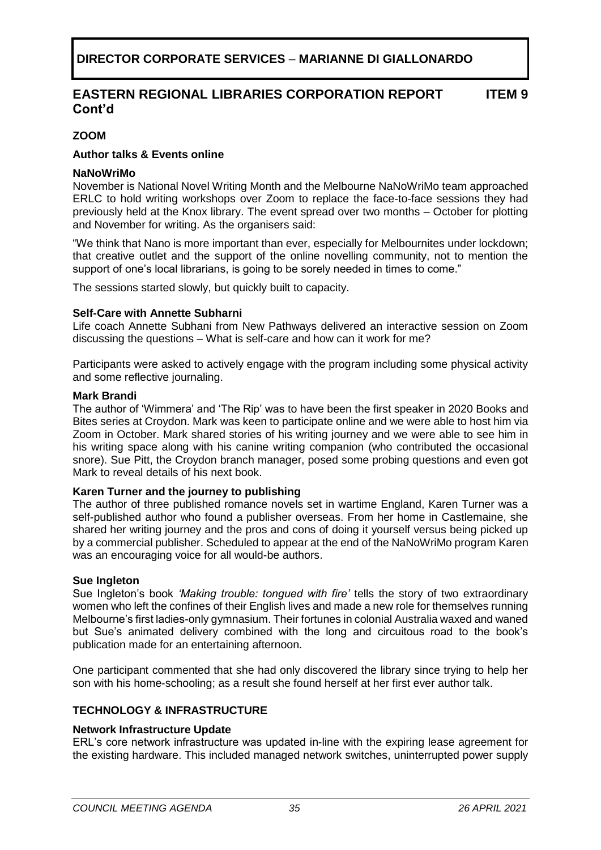## **ZOOM**

## **Author talks & Events online**

#### **NaNoWriMo**

November is National Novel Writing Month and the Melbourne NaNoWriMo team approached ERLC to hold writing workshops over Zoom to replace the face-to-face sessions they had previously held at the Knox library. The event spread over two months – October for plotting and November for writing. As the organisers said:

"We think that Nano is more important than ever, especially for Melbournites under lockdown; that creative outlet and the support of the online novelling community, not to mention the support of one's local librarians, is going to be sorely needed in times to come."

The sessions started slowly, but quickly built to capacity.

#### **Self-Care with Annette Subharni**

Life coach Annette Subhani from New Pathways delivered an interactive session on Zoom discussing the questions – What is self-care and how can it work for me?

Participants were asked to actively engage with the program including some physical activity and some reflective journaling.

#### **Mark Brandi**

The author of 'Wimmera' and 'The Rip' was to have been the first speaker in 2020 Books and Bites series at Croydon. Mark was keen to participate online and we were able to host him via Zoom in October. Mark shared stories of his writing journey and we were able to see him in his writing space along with his canine writing companion (who contributed the occasional snore). Sue Pitt, the Croydon branch manager, posed some probing questions and even got Mark to reveal details of his next book.

#### **Karen Turner and the journey to publishing**

The author of three published romance novels set in wartime England, Karen Turner was a self-published author who found a publisher overseas. From her home in Castlemaine, she shared her writing journey and the pros and cons of doing it yourself versus being picked up by a commercial publisher. Scheduled to appear at the end of the NaNoWriMo program Karen was an encouraging voice for all would-be authors.

#### **Sue Ingleton**

Sue Ingleton's book *'Making trouble: tongued with fire'* tells the story of two extraordinary women who left the confines of their English lives and made a new role for themselves running Melbourne's first ladies-only gymnasium. Their fortunes in colonial Australia waxed and waned but Sue's animated delivery combined with the long and circuitous road to the book's publication made for an entertaining afternoon.

One participant commented that she had only discovered the library since trying to help her son with his home-schooling; as a result she found herself at her first ever author talk.

## **TECHNOLOGY & INFRASTRUCTURE**

#### **Network Infrastructure Update**

ERL's core network infrastructure was updated in-line with the expiring lease agreement for the existing hardware. This included managed network switches, uninterrupted power supply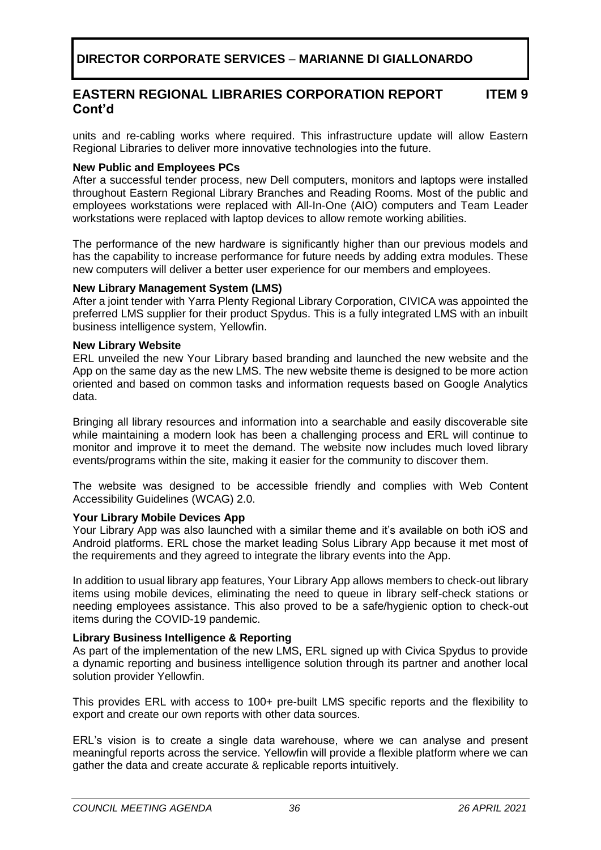units and re-cabling works where required. This infrastructure update will allow Eastern Regional Libraries to deliver more innovative technologies into the future.

## **New Public and Employees PCs**

After a successful tender process, new Dell computers, monitors and laptops were installed throughout Eastern Regional Library Branches and Reading Rooms. Most of the public and employees workstations were replaced with All-In-One (AIO) computers and Team Leader workstations were replaced with laptop devices to allow remote working abilities.

The performance of the new hardware is significantly higher than our previous models and has the capability to increase performance for future needs by adding extra modules. These new computers will deliver a better user experience for our members and employees.

#### **New Library Management System (LMS)**

After a joint tender with Yarra Plenty Regional Library Corporation, CIVICA was appointed the preferred LMS supplier for their product Spydus. This is a fully integrated LMS with an inbuilt business intelligence system, Yellowfin.

#### **New Library Website**

ERL unveiled the new Your Library based branding and launched the new website and the App on the same day as the new LMS. The new website theme is designed to be more action oriented and based on common tasks and information requests based on Google Analytics data.

Bringing all library resources and information into a searchable and easily discoverable site while maintaining a modern look has been a challenging process and ERL will continue to monitor and improve it to meet the demand. The website now includes much loved library events/programs within the site, making it easier for the community to discover them.

The website was designed to be accessible friendly and complies with Web Content Accessibility Guidelines (WCAG) 2.0.

## **Your Library Mobile Devices App**

Your Library App was also launched with a similar theme and it's available on both iOS and Android platforms. ERL chose the market leading Solus Library App because it met most of the requirements and they agreed to integrate the library events into the App.

In addition to usual library app features, Your Library App allows members to check-out library items using mobile devices, eliminating the need to queue in library self-check stations or needing employees assistance. This also proved to be a safe/hygienic option to check-out items during the COVID-19 pandemic.

## **Library Business Intelligence & Reporting**

As part of the implementation of the new LMS, ERL signed up with Civica Spydus to provide a dynamic reporting and business intelligence solution through its partner and another local solution provider Yellowfin.

This provides ERL with access to 100+ pre-built LMS specific reports and the flexibility to export and create our own reports with other data sources.

ERL's vision is to create a single data warehouse, where we can analyse and present meaningful reports across the service. Yellowfin will provide a flexible platform where we can gather the data and create accurate & replicable reports intuitively.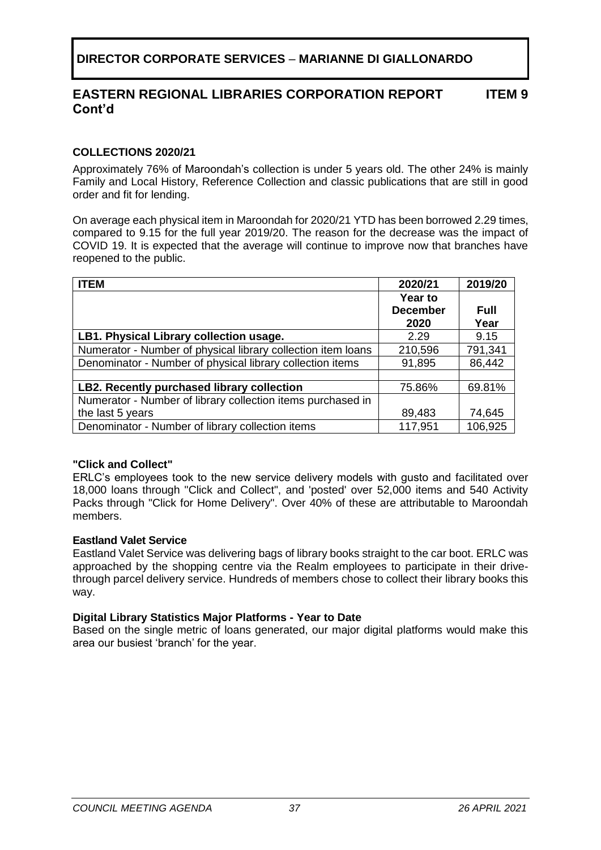## **COLLECTIONS 2020/21**

Approximately 76% of Maroondah's collection is under 5 years old. The other 24% is mainly Family and Local History, Reference Collection and classic publications that are still in good order and fit for lending.

On average each physical item in Maroondah for 2020/21 YTD has been borrowed 2.29 times, compared to 9.15 for the full year 2019/20. The reason for the decrease was the impact of COVID 19. It is expected that the average will continue to improve now that branches have reopened to the public.

| <b>ITEM</b>                                                  | 2020/21         | 2019/20     |
|--------------------------------------------------------------|-----------------|-------------|
|                                                              | Year to         |             |
|                                                              | <b>December</b> | <b>Full</b> |
|                                                              | 2020            | Year        |
| LB1. Physical Library collection usage.                      | 2.29            | 9.15        |
| Numerator - Number of physical library collection item loans | 210,596         | 791,341     |
| Denominator - Number of physical library collection items    | 91,895          | 86,442      |
|                                                              |                 |             |
| LB2. Recently purchased library collection                   | 75.86%          | 69.81%      |
| Numerator - Number of library collection items purchased in  |                 |             |
| the last 5 years                                             | 89,483          | 74,645      |
| Denominator - Number of library collection items             | 117,951         | 106,925     |

#### **"Click and Collect"**

ERLC's employees took to the new service delivery models with gusto and facilitated over 18,000 loans through "Click and Collect", and 'posted' over 52,000 items and 540 Activity Packs through "Click for Home Delivery". Over 40% of these are attributable to Maroondah members.

## **Eastland Valet Service**

Eastland Valet Service was delivering bags of library books straight to the car boot. ERLC was approached by the shopping centre via the Realm employees to participate in their drivethrough parcel delivery service. Hundreds of members chose to collect their library books this way.

#### **Digital Library Statistics Major Platforms - Year to Date**

Based on the single metric of loans generated, our major digital platforms would make this area our busiest 'branch' for the year.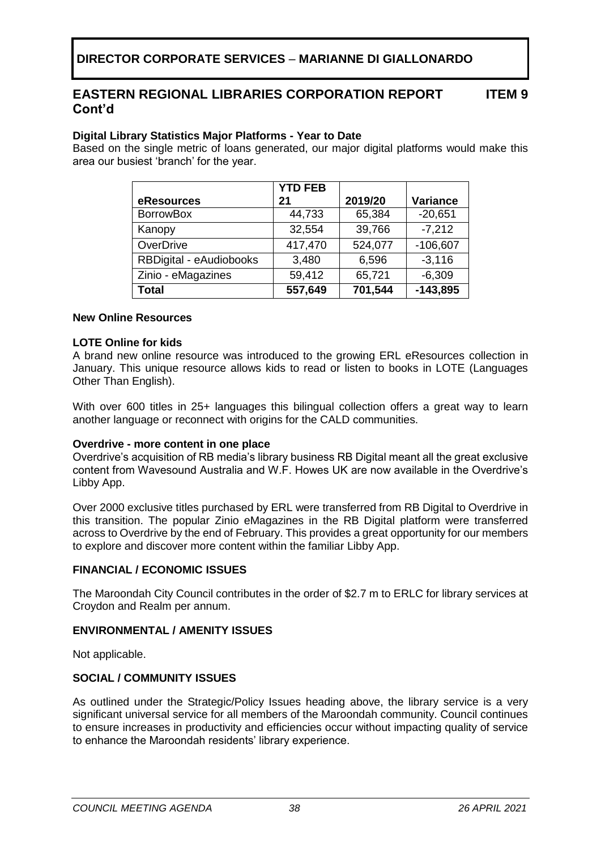**ITEM 9**

## **Digital Library Statistics Major Platforms - Year to Date**

Based on the single metric of loans generated, our major digital platforms would make this area our busiest 'branch' for the year.

|                         | <b>YTD FEB</b> |         |            |
|-------------------------|----------------|---------|------------|
| eResources              | 21             | 2019/20 | Variance   |
| <b>BorrowBox</b>        | 44,733         | 65,384  | $-20,651$  |
| Kanopy                  | 32,554         | 39,766  | $-7,212$   |
| OverDrive               | 417,470        | 524,077 | $-106,607$ |
| RBDigital - eAudiobooks | 3,480          | 6,596   | $-3,116$   |
| Zinio - eMagazines      | 59,412         | 65,721  | $-6,309$   |
| <b>Total</b>            | 557,649        | 701,544 | $-143,895$ |

#### **New Online Resources**

#### **LOTE Online for kids**

A brand new online resource was introduced to the growing ERL eResources collection in January. This unique resource allows kids to read or listen to books in LOTE (Languages Other Than English).

With over 600 titles in 25+ languages this bilingual collection offers a great way to learn another language or reconnect with origins for the CALD communities.

#### **Overdrive - more content in one place**

Overdrive's acquisition of RB media's library business RB Digital meant all the great exclusive content from Wavesound Australia and W.F. Howes UK are now available in the Overdrive's Libby App.

Over 2000 exclusive titles purchased by ERL were transferred from RB Digital to Overdrive in this transition. The popular Zinio eMagazines in the RB Digital platform were transferred across to Overdrive by the end of February. This provides a great opportunity for our members to explore and discover more content within the familiar Libby App.

#### **FINANCIAL / ECONOMIC ISSUES**

The Maroondah City Council contributes in the order of \$2.7 m to ERLC for library services at Croydon and Realm per annum.

#### **ENVIRONMENTAL / AMENITY ISSUES**

Not applicable.

#### **SOCIAL / COMMUNITY ISSUES**

As outlined under the Strategic/Policy Issues heading above, the library service is a very significant universal service for all members of the Maroondah community. Council continues to ensure increases in productivity and efficiencies occur without impacting quality of service to enhance the Maroondah residents' library experience.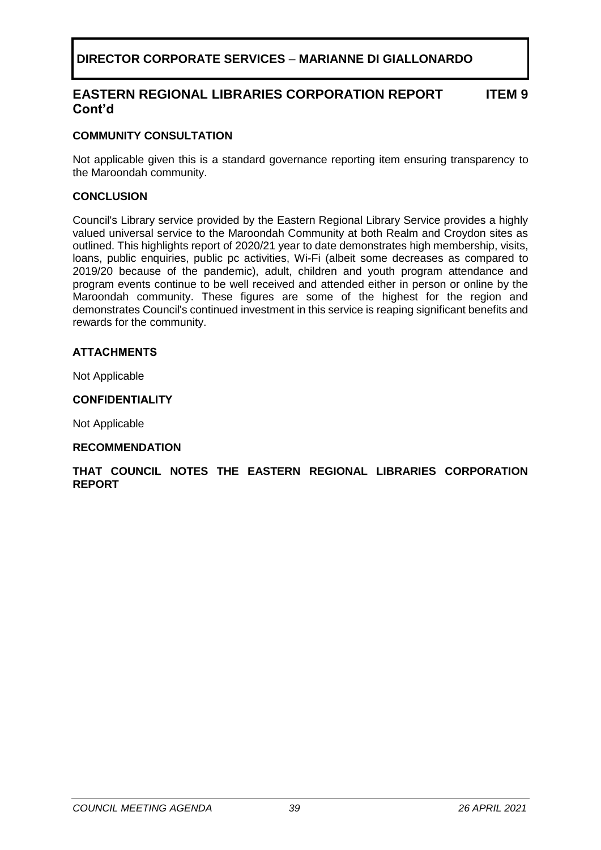#### **EASTERN REGIONAL LIBRARIES CORPORATION REPORT Cont'd ITEM 9**

#### **COMMUNITY CONSULTATION**

Not applicable given this is a standard governance reporting item ensuring transparency to the Maroondah community.

#### **CONCLUSION**

Council's Library service provided by the Eastern Regional Library Service provides a highly valued universal service to the Maroondah Community at both Realm and Croydon sites as outlined. This highlights report of 2020/21 year to date demonstrates high membership, visits, loans, public enquiries, public pc activities, Wi-Fi (albeit some decreases as compared to 2019/20 because of the pandemic), adult, children and youth program attendance and program events continue to be well received and attended either in person or online by the Maroondah community. These figures are some of the highest for the region and demonstrates Council's continued investment in this service is reaping significant benefits and rewards for the community.

#### **ATTACHMENTS**

Not Applicable

#### **CONFIDENTIALITY**

Not Applicable

#### **RECOMMENDATION**

#### **THAT COUNCIL NOTES THE EASTERN REGIONAL LIBRARIES CORPORATION REPORT**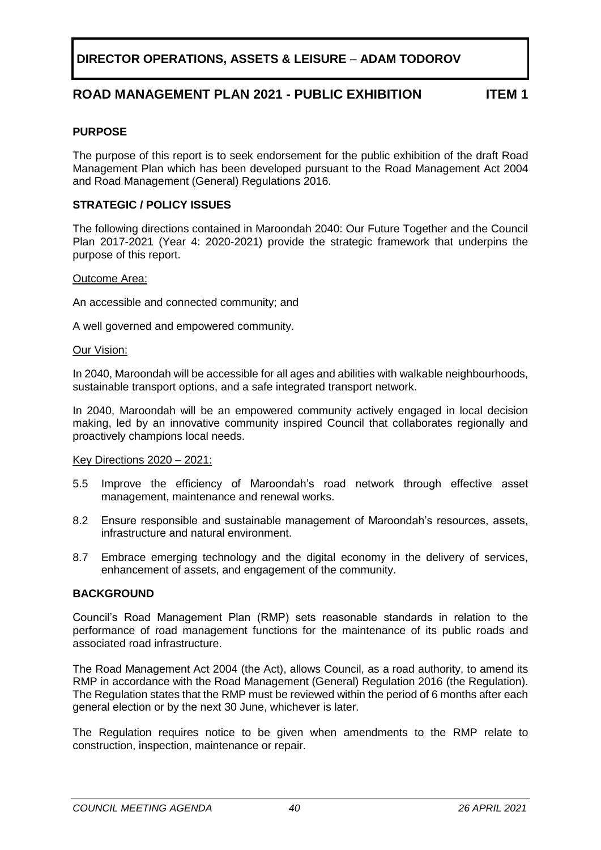# **DIRECTOR OPERATIONS, ASSETS & LEISURE** – **ADAM TODOROV**

## **ROAD MANAGEMENT PLAN 2021 - PUBLIC EXHIBITION ITEM 1**

#### <span id="page-39-0"></span>**PURPOSE**

The purpose of this report is to seek endorsement for the public exhibition of the draft Road Management Plan which has been developed pursuant to the Road Management Act 2004 and Road Management (General) Regulations 2016.

#### **STRATEGIC / POLICY ISSUES**

The following directions contained in Maroondah 2040: Our Future Together and the Council Plan 2017-2021 (Year 4: 2020-2021) provide the strategic framework that underpins the purpose of this report.

#### Outcome Area:

An accessible and connected community; and

A well governed and empowered community.

#### Our Vision:

In 2040, Maroondah will be accessible for all ages and abilities with walkable neighbourhoods, sustainable transport options, and a safe integrated transport network.

In 2040, Maroondah will be an empowered community actively engaged in local decision making, led by an innovative community inspired Council that collaborates regionally and proactively champions local needs.

#### Key Directions 2020 – 2021:

- 5.5 Improve the efficiency of Maroondah's road network through effective asset management, maintenance and renewal works.
- 8.2 Ensure responsible and sustainable management of Maroondah's resources, assets, infrastructure and natural environment.
- 8.7 Embrace emerging technology and the digital economy in the delivery of services, enhancement of assets, and engagement of the community.

#### **BACKGROUND**

Council's Road Management Plan (RMP) sets reasonable standards in relation to the performance of road management functions for the maintenance of its public roads and associated road infrastructure.

The Road Management Act 2004 (the Act), allows Council, as a road authority, to amend its RMP in accordance with the Road Management (General) Regulation 2016 (the Regulation). The Regulation states that the RMP must be reviewed within the period of 6 months after each general election or by the next 30 June, whichever is later.

The Regulation requires notice to be given when amendments to the RMP relate to construction, inspection, maintenance or repair.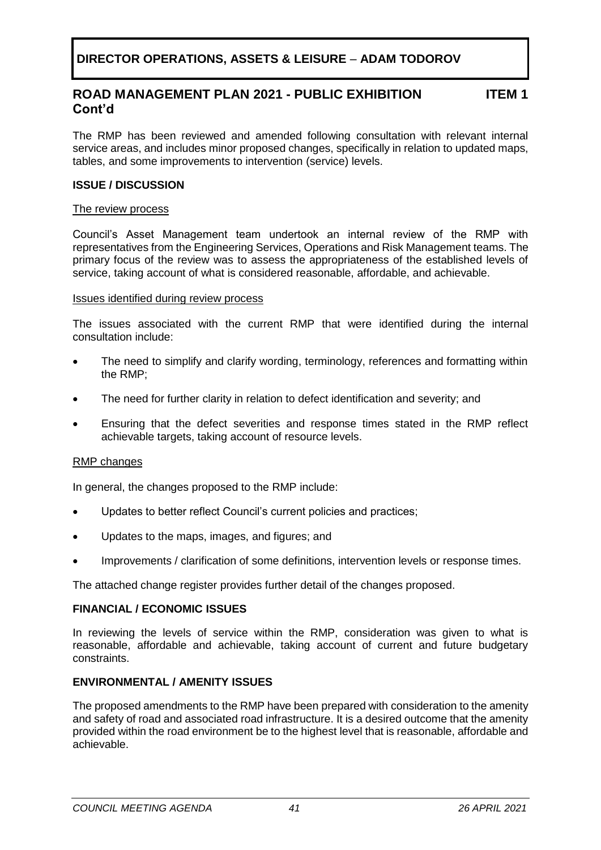# **DIRECTOR OPERATIONS, ASSETS & LEISURE** – **ADAM TODOROV**

#### **ROAD MANAGEMENT PLAN 2021 - PUBLIC EXHIBITION Cont'd ITEM 1**

The RMP has been reviewed and amended following consultation with relevant internal service areas, and includes minor proposed changes, specifically in relation to updated maps, tables, and some improvements to intervention (service) levels.

#### **ISSUE / DISCUSSION**

#### The review process

Council's Asset Management team undertook an internal review of the RMP with representatives from the Engineering Services, Operations and Risk Management teams. The primary focus of the review was to assess the appropriateness of the established levels of service, taking account of what is considered reasonable, affordable, and achievable.

#### Issues identified during review process

The issues associated with the current RMP that were identified during the internal consultation include:

- The need to simplify and clarify wording, terminology, references and formatting within the RMP;
- The need for further clarity in relation to defect identification and severity; and
- Ensuring that the defect severities and response times stated in the RMP reflect achievable targets, taking account of resource levels.

#### RMP changes

In general, the changes proposed to the RMP include:

- Updates to better reflect Council's current policies and practices;
- Updates to the maps, images, and figures; and
- Improvements / clarification of some definitions, intervention levels or response times.

The attached change register provides further detail of the changes proposed.

#### **FINANCIAL / ECONOMIC ISSUES**

In reviewing the levels of service within the RMP, consideration was given to what is reasonable, affordable and achievable, taking account of current and future budgetary constraints.

#### **ENVIRONMENTAL / AMENITY ISSUES**

The proposed amendments to the RMP have been prepared with consideration to the amenity and safety of road and associated road infrastructure. It is a desired outcome that the amenity provided within the road environment be to the highest level that is reasonable, affordable and achievable.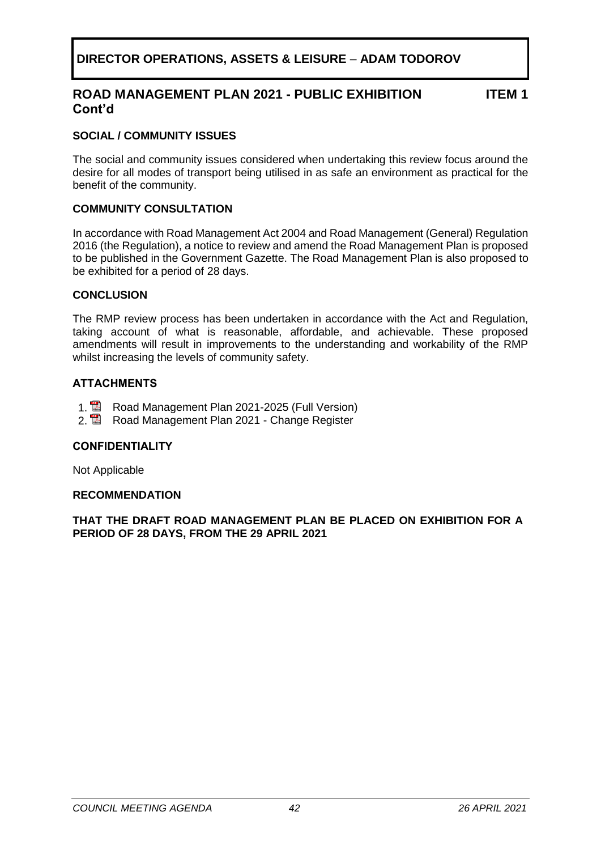# **DIRECTOR OPERATIONS, ASSETS & LEISURE** – **ADAM TODOROV**

## **ROAD MANAGEMENT PLAN 2021 - PUBLIC EXHIBITION Cont'd**

**ITEM 1**

#### **SOCIAL / COMMUNITY ISSUES**

The social and community issues considered when undertaking this review focus around the desire for all modes of transport being utilised in as safe an environment as practical for the benefit of the community.

#### **COMMUNITY CONSULTATION**

In accordance with Road Management Act 2004 and Road Management (General) Regulation 2016 (the Regulation), a notice to review and amend the Road Management Plan is proposed to be published in the Government Gazette. The Road Management Plan is also proposed to be exhibited for a period of 28 days.

#### **CONCLUSION**

The RMP review process has been undertaken in accordance with the Act and Regulation, taking account of what is reasonable, affordable, and achievable. These proposed amendments will result in improvements to the understanding and workability of the RMP whilst increasing the levels of community safety.

#### **ATTACHMENTS**

- 1. **R** Road Management Plan 2021-2025 (Full Version)
- 2. **2.** Road Management Plan 2021 Change Register

#### **CONFIDENTIALITY**

Not Applicable

#### **RECOMMENDATION**

**THAT THE DRAFT ROAD MANAGEMENT PLAN BE PLACED ON EXHIBITION FOR A PERIOD OF 28 DAYS, FROM THE 29 APRIL 2021**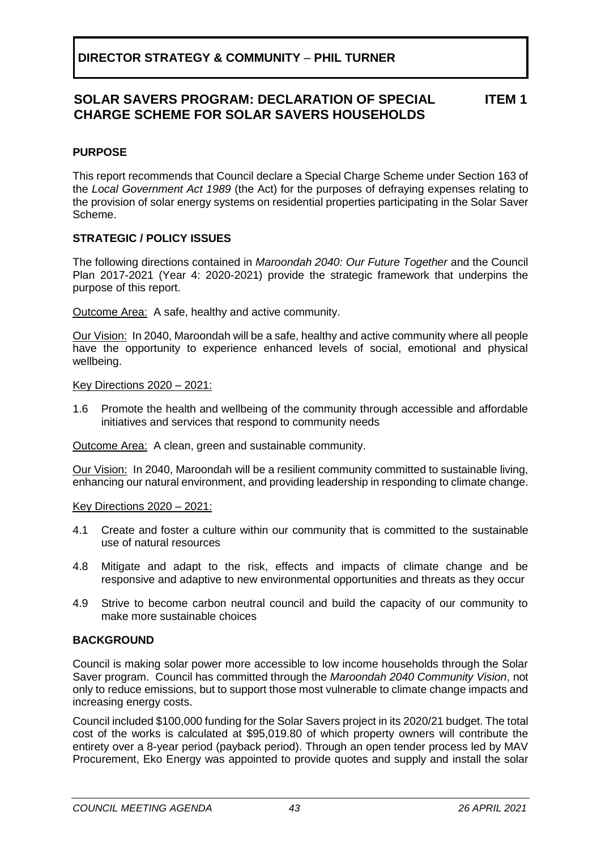## <span id="page-42-0"></span>**PURPOSE**

This report recommends that Council declare a Special Charge Scheme under Section 163 of the *Local Government Act 1989* (the Act) for the purposes of defraying expenses relating to the provision of solar energy systems on residential properties participating in the Solar Saver Scheme.

## **STRATEGIC / POLICY ISSUES**

The following directions contained in *Maroondah 2040: Our Future Together* and the Council Plan 2017-2021 (Year 4: 2020-2021) provide the strategic framework that underpins the purpose of this report.

Outcome Area:A safe, healthy and active community.

Our Vision:In 2040, Maroondah will be a safe, healthy and active community where all people have the opportunity to experience enhanced levels of social, emotional and physical wellbeing.

Key Directions 2020 – 2021:

1.6 Promote the health and wellbeing of the community through accessible and affordable initiatives and services that respond to community needs

Outcome Area:A clean, green and sustainable community.

Our Vision:In 2040, Maroondah will be a resilient community committed to sustainable living, enhancing our natural environment, and providing leadership in responding to climate change.

Key Directions 2020 – 2021:

- 4.1 Create and foster a culture within our community that is committed to the sustainable use of natural resources
- 4.8 Mitigate and adapt to the risk, effects and impacts of climate change and be responsive and adaptive to new environmental opportunities and threats as they occur
- 4.9 Strive to become carbon neutral council and build the capacity of our community to make more sustainable choices

## **BACKGROUND**

Council is making solar power more accessible to low income households through the Solar Saver program. Council has committed through the *Maroondah 2040 Community Vision*, not only to reduce emissions, but to support those most vulnerable to climate change impacts and increasing energy costs.

Council included \$100,000 funding for the Solar Savers project in its 2020/21 budget. The total cost of the works is calculated at \$95,019.80 of which property owners will contribute the entirety over a 8-year period (payback period). Through an open tender process led by MAV Procurement, Eko Energy was appointed to provide quotes and supply and install the solar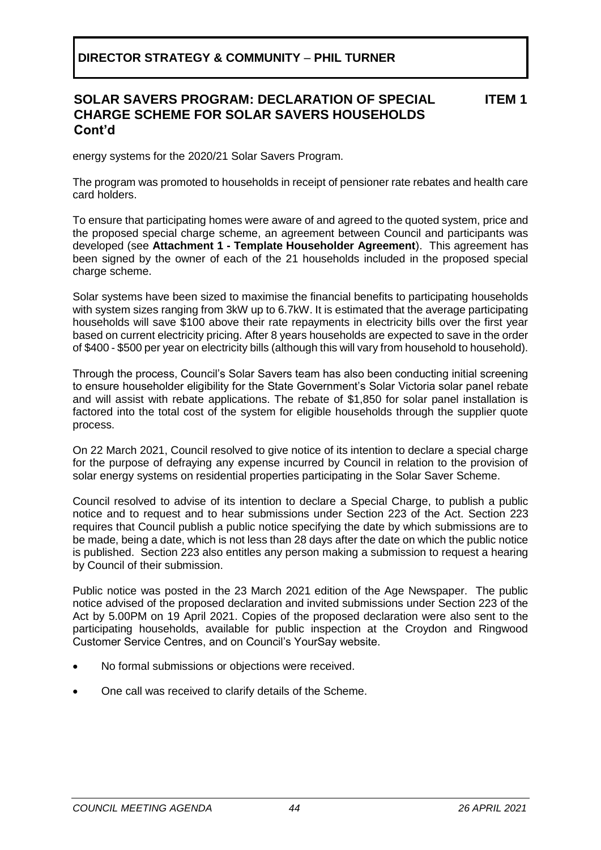#### **SOLAR SAVERS PROGRAM: DECLARATION OF SPECIAL CHARGE SCHEME FOR SOLAR SAVERS HOUSEHOLDS Cont'd ITEM 1**

energy systems for the 2020/21 Solar Savers Program.

The program was promoted to households in receipt of pensioner rate rebates and health care card holders.

To ensure that participating homes were aware of and agreed to the quoted system, price and the proposed special charge scheme, an agreement between Council and participants was developed (see **Attachment 1 - Template Householder Agreement**). This agreement has been signed by the owner of each of the 21 households included in the proposed special charge scheme.

Solar systems have been sized to maximise the financial benefits to participating households with system sizes ranging from 3kW up to 6.7kW. It is estimated that the average participating households will save \$100 above their rate repayments in electricity bills over the first year based on current electricity pricing. After 8 years households are expected to save in the order of \$400 - \$500 per year on electricity bills (although this will vary from household to household).

Through the process, Council's Solar Savers team has also been conducting initial screening to ensure householder eligibility for the State Government's Solar Victoria solar panel rebate and will assist with rebate applications. The rebate of \$1,850 for solar panel installation is factored into the total cost of the system for eligible households through the supplier quote process.

On 22 March 2021, Council resolved to give notice of its intention to declare a special charge for the purpose of defraying any expense incurred by Council in relation to the provision of solar energy systems on residential properties participating in the Solar Saver Scheme.

Council resolved to advise of its intention to declare a Special Charge, to publish a public notice and to request and to hear submissions under Section 223 of the Act. Section 223 requires that Council publish a public notice specifying the date by which submissions are to be made, being a date, which is not less than 28 days after the date on which the public notice is published. Section 223 also entitles any person making a submission to request a hearing by Council of their submission.

Public notice was posted in the 23 March 2021 edition of the Age Newspaper. The public notice advised of the proposed declaration and invited submissions under Section 223 of the Act by 5.00PM on 19 April 2021. Copies of the proposed declaration were also sent to the participating households, available for public inspection at the Croydon and Ringwood Customer Service Centres, and on Council's YourSay website.

- No formal submissions or objections were received.
- One call was received to clarify details of the Scheme.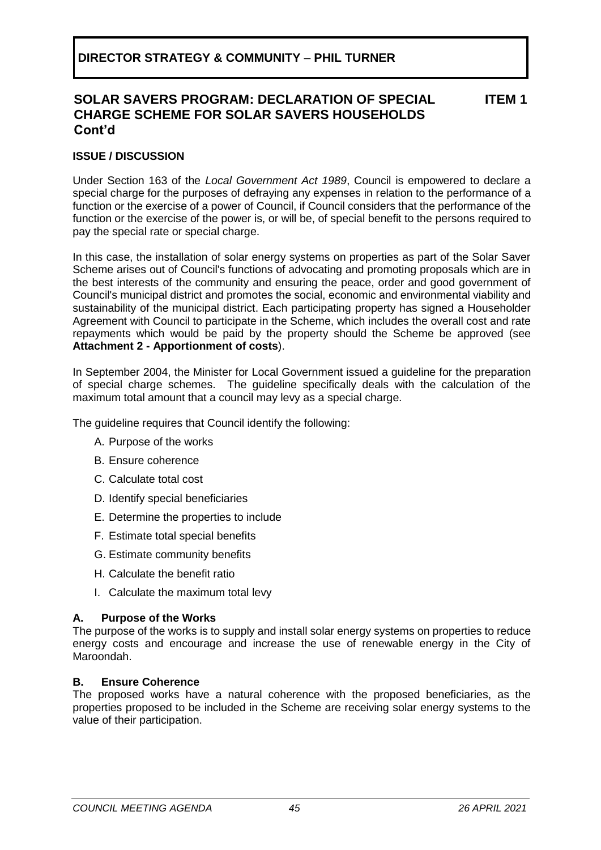#### **ISSUE / DISCUSSION**

Under Section 163 of the *Local Government Act 1989*, Council is empowered to declare a special charge for the purposes of defraying any expenses in relation to the performance of a function or the exercise of a power of [Council,](http://www.austlii.edu.au/au/legis/vic/consol_act/lga1989182/s3.html#council) if [Council](http://www.austlii.edu.au/au/legis/vic/consol_act/lga1989182/s3.html#council) considers that the performance of the function or the exercise of the power is, or will be, of special benefit to the [persons](http://www.austlii.edu.au/au/legis/vic/consol_act/lga1989182/s3.html#person) required to pay the special rate or special charge.

In this case, the installation of solar energy systems on properties as part of the Solar Saver Scheme arises out of Council's functions of advocating and promoting proposals which are in the best interests of the community and ensuring the peace, order and good government of Council's municipal district and promotes the social, economic and environmental viability and sustainability of the [municipal district](http://www.austlii.edu.au/au/legis/vic/consol_act/lga1989182/s3.html#municipal_district). Each participating property has signed a Householder Agreement with Council to participate in the Scheme, which includes the overall cost and rate repayments which would be paid by the property should the Scheme be approved (see **Attachment 2 - Apportionment of costs**).

In September 2004, the Minister for Local Government issued a guideline for the preparation of special charge schemes. The guideline specifically deals with the calculation of the maximum total amount that a council may levy as a special charge.

The guideline requires that Council identify the following:

- A. Purpose of the works
- B. Ensure coherence
- C. Calculate total cost
- D. Identify special beneficiaries
- E. Determine the properties to include
- F. Estimate total special benefits
- G. Estimate community benefits
- H. Calculate the benefit ratio
- I. Calculate the maximum total levy

#### **A. Purpose of the Works**

The purpose of the works is to supply and install solar energy systems on properties to reduce energy costs and encourage and increase the use of renewable energy in the City of Maroondah.

#### **B. Ensure Coherence**

The proposed works have a natural coherence with the proposed beneficiaries, as the properties proposed to be included in the Scheme are receiving solar energy systems to the value of their participation.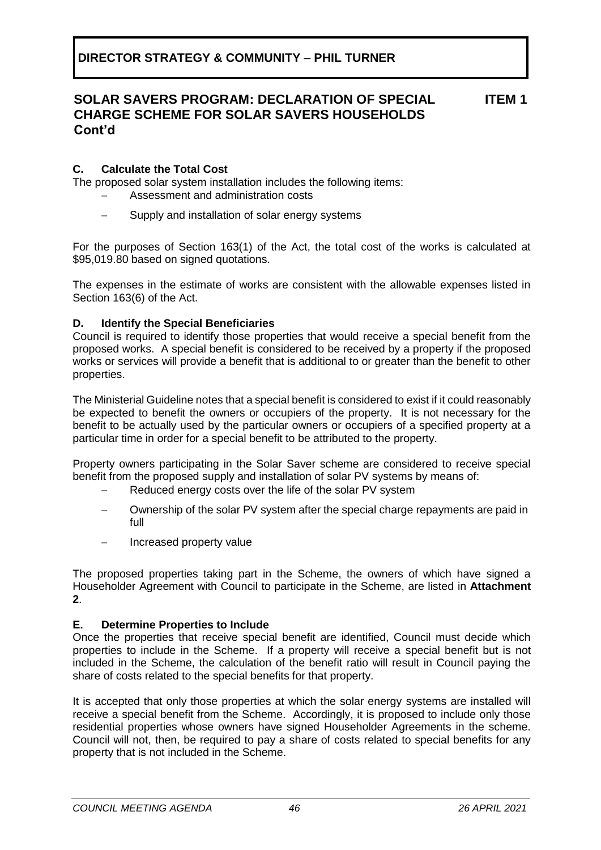## **C. Calculate the Total Cost**

The proposed solar system installation includes the following items:

- − Assessment and administration costs
- Supply and installation of solar energy systems

For the purposes of Section 163(1) of the Act, the total cost of the works is calculated at \$95,019.80 based on signed quotations.

The expenses in the estimate of works are consistent with the allowable expenses listed in Section 163(6) of the Act.

#### **D. Identify the Special Beneficiaries**

Council is required to identify those properties that would receive a special benefit from the proposed works. A special benefit is considered to be received by a property if the proposed works or services will provide a benefit that is additional to or greater than the benefit to other properties.

The Ministerial Guideline notes that a special benefit is considered to exist if it could reasonably be expected to benefit the owners or occupiers of the property. It is not necessary for the benefit to be actually used by the particular owners or occupiers of a specified property at a particular time in order for a special benefit to be attributed to the property.

Property owners participating in the Solar Saver scheme are considered to receive special benefit from the proposed supply and installation of solar PV systems by means of:

- Reduced energy costs over the life of the solar PV system
- Ownership of the solar PV system after the special charge repayments are paid in full
- − Increased property value

The proposed properties taking part in the Scheme, the owners of which have signed a Householder Agreement with Council to participate in the Scheme, are listed in **Attachment 2**.

#### **E. Determine Properties to Include**

Once the properties that receive special benefit are identified, Council must decide which properties to include in the Scheme. If a property will receive a special benefit but is not included in the Scheme, the calculation of the benefit ratio will result in Council paying the share of costs related to the special benefits for that property.

It is accepted that only those properties at which the solar energy systems are installed will receive a special benefit from the Scheme. Accordingly, it is proposed to include only those residential properties whose owners have signed Householder Agreements in the scheme. Council will not, then, be required to pay a share of costs related to special benefits for any property that is not included in the Scheme.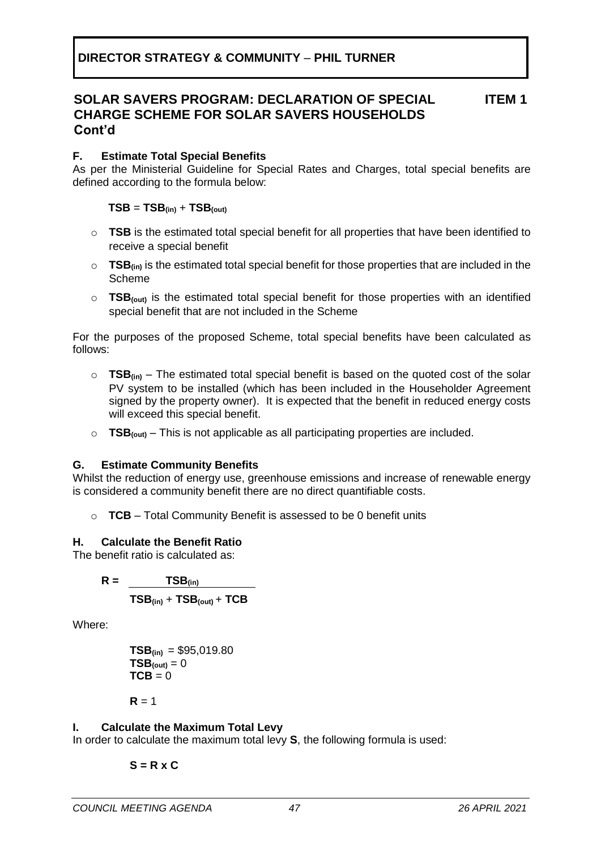## **F. Estimate Total Special Benefits**

As per the Ministerial Guideline for Special Rates and Charges, total special benefits are defined according to the formula below:

## $TSB = TSB$ <sub>(in)</sub> +  $TSB$ <sub>(out)</sub>

- o **TSB** is the estimated total special benefit for all properties that have been identified to receive a special benefit
- $\circ$  **TSB**<sub>(in)</sub> is the estimated total special benefit for those properties that are included in the Scheme
- o **TSB(out)** is the estimated total special benefit for those properties with an identified special benefit that are not included in the Scheme

For the purposes of the proposed Scheme, total special benefits have been calculated as follows:

- o **TSB(in)** The estimated total special benefit is based on the quoted cost of the solar PV system to be installed (which has been included in the Householder Agreement signed by the property owner). It is expected that the benefit in reduced energy costs will exceed this special benefit.
- o **TSB(out)** This is not applicable as all participating properties are included.

## **G. Estimate Community Benefits**

Whilst the reduction of energy use, greenhouse emissions and increase of renewable energy is considered a community benefit there are no direct quantifiable costs.

o **TCB** – Total Community Benefit is assessed to be 0 benefit units

## **H. Calculate the Benefit Ratio**

The benefit ratio is calculated as:

 $R = TSB$ <sub>(in)</sub>  $TSB$ <sub>(in)</sub> +  $TSB$ <sub>(out)</sub> +  $TCB$ 

Where:

$$
TSB_{(in)} = $95,019.80
$$
  
\n
$$
TSB_{(out)} = 0
$$
  
\n
$$
TCB = 0
$$

 $R = 1$ 

## **I. Calculate the Maximum Total Levy**

In order to calculate the maximum total levy **S**, the following formula is used:

$$
S = R \times C
$$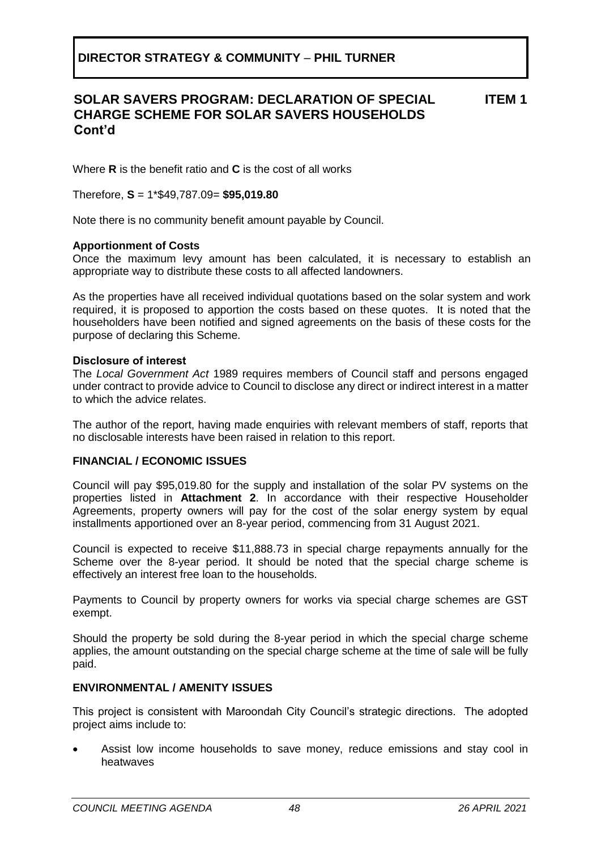Where **R** is the benefit ratio and **C** is the cost of all works

Therefore, **S** = 1\*\$49,787.09= **\$95,019.80**

Note there is no community benefit amount payable by Council.

#### **Apportionment of Costs**

Once the maximum levy amount has been calculated, it is necessary to establish an appropriate way to distribute these costs to all affected landowners.

As the properties have all received individual quotations based on the solar system and work required, it is proposed to apportion the costs based on these quotes. It is noted that the householders have been notified and signed agreements on the basis of these costs for the purpose of declaring this Scheme.

#### **Disclosure of interest**

The *Local Government Act* 1989 requires members of Council staff and persons engaged under contract to provide advice to Council to disclose any direct or indirect interest in a matter to which the advice relates.

The author of the report, having made enquiries with relevant members of staff, reports that no disclosable interests have been raised in relation to this report.

#### **FINANCIAL / ECONOMIC ISSUES**

Council will pay \$95,019.80 for the supply and installation of the solar PV systems on the properties listed in **Attachment 2**. In accordance with their respective Householder Agreements, property owners will pay for the cost of the solar energy system by equal installments apportioned over an 8-year period, commencing from 31 August 2021.

Council is expected to receive \$11,888.73 in special charge repayments annually for the Scheme over the 8-year period. It should be noted that the special charge scheme is effectively an interest free loan to the households.

Payments to Council by property owners for works via special charge schemes are GST exempt.

Should the property be sold during the 8-year period in which the special charge scheme applies, the amount outstanding on the special charge scheme at the time of sale will be fully paid.

#### **ENVIRONMENTAL / AMENITY ISSUES**

This project is consistent with Maroondah City Council's strategic directions. The adopted project aims include to:

• Assist low income households to save money, reduce emissions and stay cool in heatwaves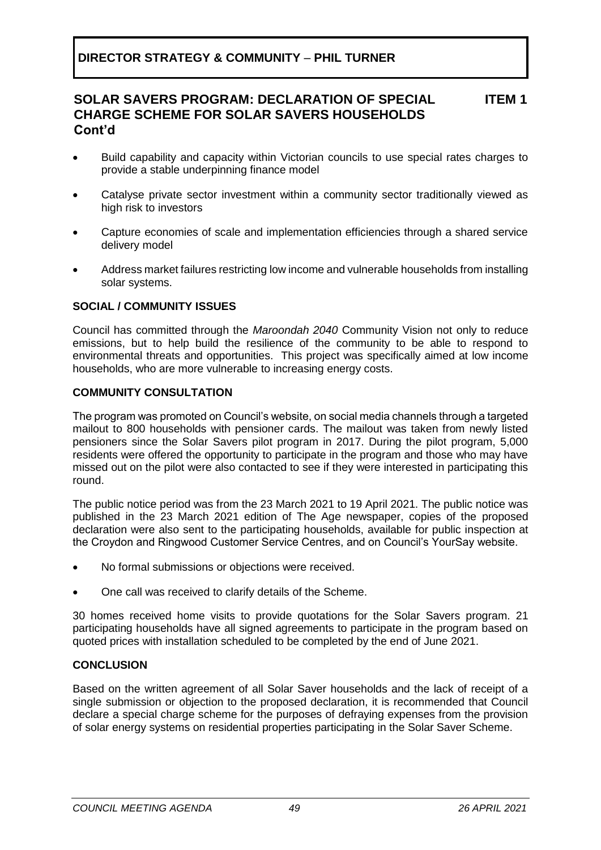- Build capability and capacity within Victorian councils to use special rates charges to provide a stable underpinning finance model
- Catalyse private sector investment within a community sector traditionally viewed as high risk to investors
- Capture economies of scale and implementation efficiencies through a shared service delivery model
- Address market failures restricting low income and vulnerable households from installing solar systems.

## **SOCIAL / COMMUNITY ISSUES**

Council has committed through the *Maroondah 2040* Community Vision not only to reduce emissions, but to help build the resilience of the community to be able to respond to environmental threats and opportunities. This project was specifically aimed at low income households, who are more vulnerable to increasing energy costs.

#### **COMMUNITY CONSULTATION**

The program was promoted on Council's website, on social media channels through a targeted mailout to 800 households with pensioner cards. The mailout was taken from newly listed pensioners since the Solar Savers pilot program in 2017. During the pilot program, 5,000 residents were offered the opportunity to participate in the program and those who may have missed out on the pilot were also contacted to see if they were interested in participating this round.

The public notice period was from the 23 March 2021 to 19 April 2021. The public notice was published in the 23 March 2021 edition of The Age newspaper, copies of the proposed declaration were also sent to the participating households, available for public inspection at the Croydon and Ringwood Customer Service Centres, and on Council's YourSay website.

- No formal submissions or objections were received.
- One call was received to clarify details of the Scheme.

30 homes received home visits to provide quotations for the Solar Savers program. 21 participating households have all signed agreements to participate in the program based on quoted prices with installation scheduled to be completed by the end of June 2021.

#### **CONCLUSION**

Based on the written agreement of all Solar Saver households and the lack of receipt of a single submission or objection to the proposed declaration, it is recommended that Council declare a special charge scheme for the purposes of defraying expenses from the provision of solar energy systems on residential properties participating in the Solar Saver Scheme.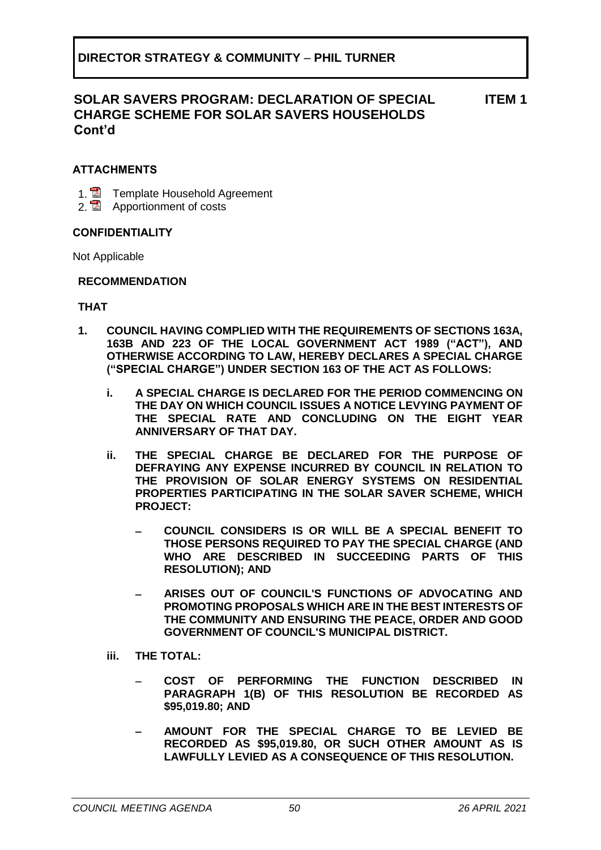#### **ATTACHMENTS**

- 1. **2** Template Household Agreement
- 2. **Apportionment of costs**

#### **CONFIDENTIALITY**

Not Applicable

#### **RECOMMENDATION**

#### **THAT**

- **1. COUNCIL HAVING COMPLIED WITH THE REQUIREMENTS OF SECTIONS 163A, 163B AND 223 OF THE LOCAL GOVERNMENT ACT 1989 ("ACT"), AND OTHERWISE ACCORDING TO LAW, HEREBY DECLARES A SPECIAL CHARGE ("SPECIAL CHARGE") UNDER SECTION 163 OF THE ACT AS FOLLOWS:** 
	- **i. A SPECIAL CHARGE IS DECLARED FOR THE PERIOD COMMENCING ON THE DAY ON WHICH COUNCIL ISSUES A NOTICE LEVYING PAYMENT OF THE SPECIAL RATE AND CONCLUDING ON THE EIGHT YEAR ANNIVERSARY OF THAT DAY.**
	- **ii. THE SPECIAL CHARGE BE DECLARED FOR THE PURPOSE OF DEFRAYING ANY EXPENSE INCURRED BY COUNCIL IN RELATION TO THE PROVISION OF SOLAR ENERGY SYSTEMS ON RESIDENTIAL PROPERTIES PARTICIPATING IN THE SOLAR SAVER SCHEME, WHICH PROJECT:**
		- − **COUNCIL CONSIDERS IS OR WILL BE A SPECIAL BENEFIT TO THOSE PERSONS REQUIRED TO PAY THE SPECIAL CHARGE (AND WHO ARE DESCRIBED IN SUCCEEDING PARTS OF THIS RESOLUTION); AND**
		- − **ARISES OUT OF COUNCIL'S FUNCTIONS OF ADVOCATING AND PROMOTING PROPOSALS WHICH ARE IN THE BEST INTERESTS OF THE COMMUNITY AND ENSURING THE PEACE, ORDER AND GOOD GOVERNMENT OF COUNCIL'S MUNICIPAL DISTRICT.**
	- **iii. THE TOTAL:**
		- − **COST OF PERFORMING THE FUNCTION DESCRIBED IN PARAGRAPH 1(B) OF THIS RESOLUTION BE RECORDED AS \$95,019.80; AND**
		- − **AMOUNT FOR THE SPECIAL CHARGE TO BE LEVIED BE RECORDED AS \$95,019.80, OR SUCH OTHER AMOUNT AS IS LAWFULLY LEVIED AS A CONSEQUENCE OF THIS RESOLUTION.**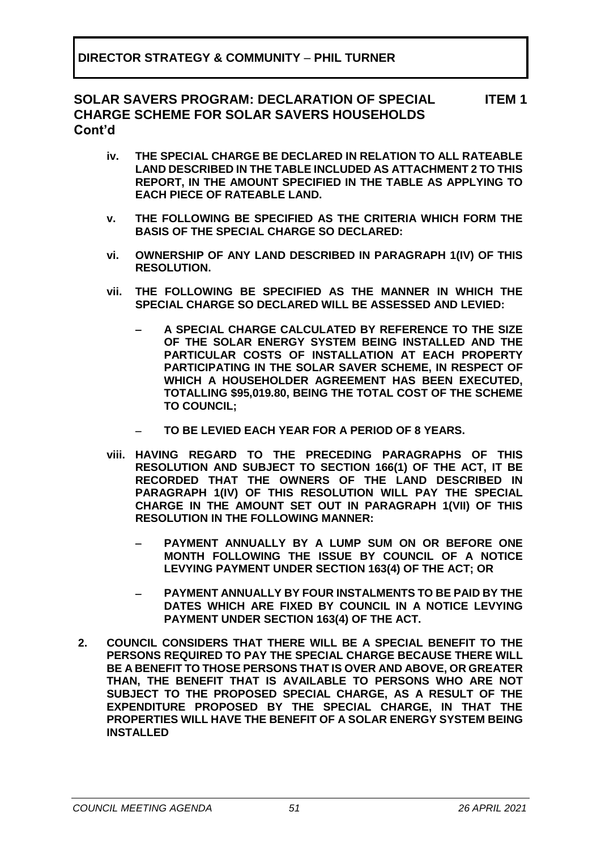- **iv. THE SPECIAL CHARGE BE DECLARED IN RELATION TO ALL RATEABLE LAND DESCRIBED IN THE TABLE INCLUDED AS ATTACHMENT 2 TO THIS REPORT, IN THE AMOUNT SPECIFIED IN THE TABLE AS APPLYING TO EACH PIECE OF RATEABLE LAND.**
- **v. THE FOLLOWING BE SPECIFIED AS THE CRITERIA WHICH FORM THE BASIS OF THE SPECIAL CHARGE SO DECLARED:**
- **vi. OWNERSHIP OF ANY LAND DESCRIBED IN PARAGRAPH 1(IV) OF THIS RESOLUTION.**
- **vii. THE FOLLOWING BE SPECIFIED AS THE MANNER IN WHICH THE SPECIAL CHARGE SO DECLARED WILL BE ASSESSED AND LEVIED:**
	- − **A SPECIAL CHARGE CALCULATED BY REFERENCE TO THE SIZE OF THE SOLAR ENERGY SYSTEM BEING INSTALLED AND THE PARTICULAR COSTS OF INSTALLATION AT EACH PROPERTY PARTICIPATING IN THE SOLAR SAVER SCHEME, IN RESPECT OF WHICH A HOUSEHOLDER AGREEMENT HAS BEEN EXECUTED, TOTALLING \$95,019.80, BEING THE TOTAL COST OF THE SCHEME TO COUNCIL;**
	- − **TO BE LEVIED EACH YEAR FOR A PERIOD OF 8 YEARS.**
- **viii. HAVING REGARD TO THE PRECEDING PARAGRAPHS OF THIS RESOLUTION AND SUBJECT TO SECTION 166(1) OF THE ACT, IT BE RECORDED THAT THE OWNERS OF THE LAND DESCRIBED IN PARAGRAPH 1(IV) OF THIS RESOLUTION WILL PAY THE SPECIAL CHARGE IN THE AMOUNT SET OUT IN PARAGRAPH 1(VII) OF THIS RESOLUTION IN THE FOLLOWING MANNER:**
	- − **PAYMENT ANNUALLY BY A LUMP SUM ON OR BEFORE ONE MONTH FOLLOWING THE ISSUE BY COUNCIL OF A NOTICE LEVYING PAYMENT UNDER SECTION 163(4) OF THE ACT; OR**
	- − **PAYMENT ANNUALLY BY FOUR INSTALMENTS TO BE PAID BY THE DATES WHICH ARE FIXED BY COUNCIL IN A NOTICE LEVYING PAYMENT UNDER SECTION 163(4) OF THE ACT.**
- **2. COUNCIL CONSIDERS THAT THERE WILL BE A SPECIAL BENEFIT TO THE PERSONS REQUIRED TO PAY THE SPECIAL CHARGE BECAUSE THERE WILL BE A BENEFIT TO THOSE PERSONS THAT IS OVER AND ABOVE, OR GREATER THAN, THE BENEFIT THAT IS AVAILABLE TO PERSONS WHO ARE NOT SUBJECT TO THE PROPOSED SPECIAL CHARGE, AS A RESULT OF THE EXPENDITURE PROPOSED BY THE SPECIAL CHARGE, IN THAT THE PROPERTIES WILL HAVE THE BENEFIT OF A SOLAR ENERGY SYSTEM BEING INSTALLED**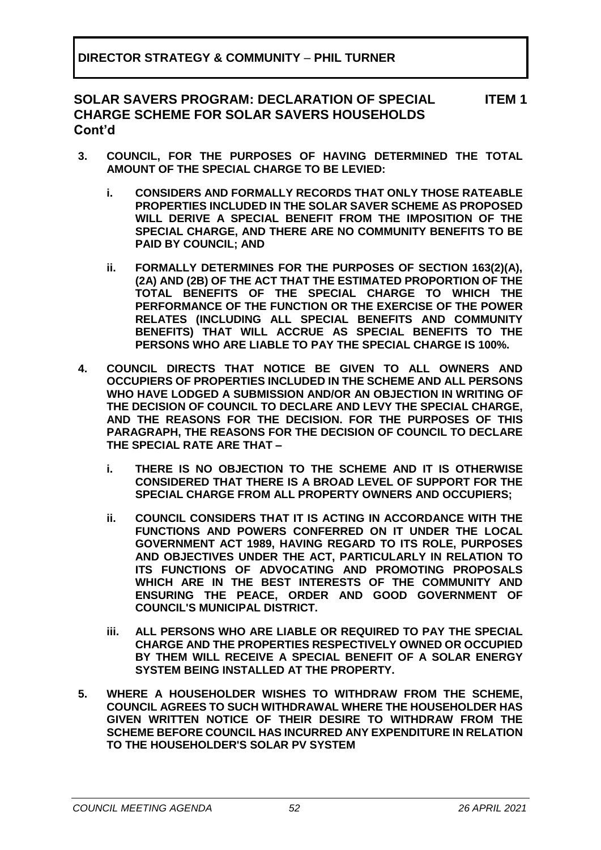- **3. COUNCIL, FOR THE PURPOSES OF HAVING DETERMINED THE TOTAL AMOUNT OF THE SPECIAL CHARGE TO BE LEVIED:**
	- **i. CONSIDERS AND FORMALLY RECORDS THAT ONLY THOSE RATEABLE PROPERTIES INCLUDED IN THE SOLAR SAVER SCHEME AS PROPOSED WILL DERIVE A SPECIAL BENEFIT FROM THE IMPOSITION OF THE SPECIAL CHARGE, AND THERE ARE NO COMMUNITY BENEFITS TO BE PAID BY COUNCIL; AND**
	- **ii. FORMALLY DETERMINES FOR THE PURPOSES OF SECTION 163(2)(A), (2A) AND (2B) OF THE ACT THAT THE ESTIMATED PROPORTION OF THE TOTAL BENEFITS OF THE SPECIAL CHARGE TO WHICH THE PERFORMANCE OF THE FUNCTION OR THE EXERCISE OF THE POWER RELATES (INCLUDING ALL SPECIAL BENEFITS AND COMMUNITY BENEFITS) THAT WILL ACCRUE AS SPECIAL BENEFITS TO THE PERSONS WHO ARE LIABLE TO PAY THE SPECIAL CHARGE IS 100%.**
- **4. COUNCIL DIRECTS THAT NOTICE BE GIVEN TO ALL OWNERS AND OCCUPIERS OF PROPERTIES INCLUDED IN THE SCHEME AND ALL PERSONS WHO HAVE LODGED A SUBMISSION AND/OR AN OBJECTION IN WRITING OF THE DECISION OF COUNCIL TO DECLARE AND LEVY THE SPECIAL CHARGE, AND THE REASONS FOR THE DECISION. FOR THE PURPOSES OF THIS PARAGRAPH, THE REASONS FOR THE DECISION OF COUNCIL TO DECLARE THE SPECIAL RATE ARE THAT –**
	- **i. THERE IS NO OBJECTION TO THE SCHEME AND IT IS OTHERWISE CONSIDERED THAT THERE IS A BROAD LEVEL OF SUPPORT FOR THE SPECIAL CHARGE FROM ALL PROPERTY OWNERS AND OCCUPIERS;**
	- **ii. COUNCIL CONSIDERS THAT IT IS ACTING IN ACCORDANCE WITH THE FUNCTIONS AND POWERS CONFERRED ON IT UNDER THE LOCAL GOVERNMENT ACT 1989, HAVING REGARD TO ITS ROLE, PURPOSES AND OBJECTIVES UNDER THE ACT, PARTICULARLY IN RELATION TO ITS FUNCTIONS OF ADVOCATING AND PROMOTING PROPOSALS WHICH ARE IN THE BEST INTERESTS OF THE COMMUNITY AND ENSURING THE PEACE, ORDER AND GOOD GOVERNMENT OF COUNCIL'S MUNICIPAL DISTRICT.**
	- **iii. ALL PERSONS WHO ARE LIABLE OR REQUIRED TO PAY THE SPECIAL CHARGE AND THE PROPERTIES RESPECTIVELY OWNED OR OCCUPIED BY THEM WILL RECEIVE A SPECIAL BENEFIT OF A SOLAR ENERGY SYSTEM BEING INSTALLED AT THE PROPERTY.**
- **5. WHERE A HOUSEHOLDER WISHES TO WITHDRAW FROM THE SCHEME, COUNCIL AGREES TO SUCH WITHDRAWAL WHERE THE HOUSEHOLDER HAS GIVEN WRITTEN NOTICE OF THEIR DESIRE TO WITHDRAW FROM THE SCHEME BEFORE COUNCIL HAS INCURRED ANY EXPENDITURE IN RELATION TO THE HOUSEHOLDER'S SOLAR PV SYSTEM**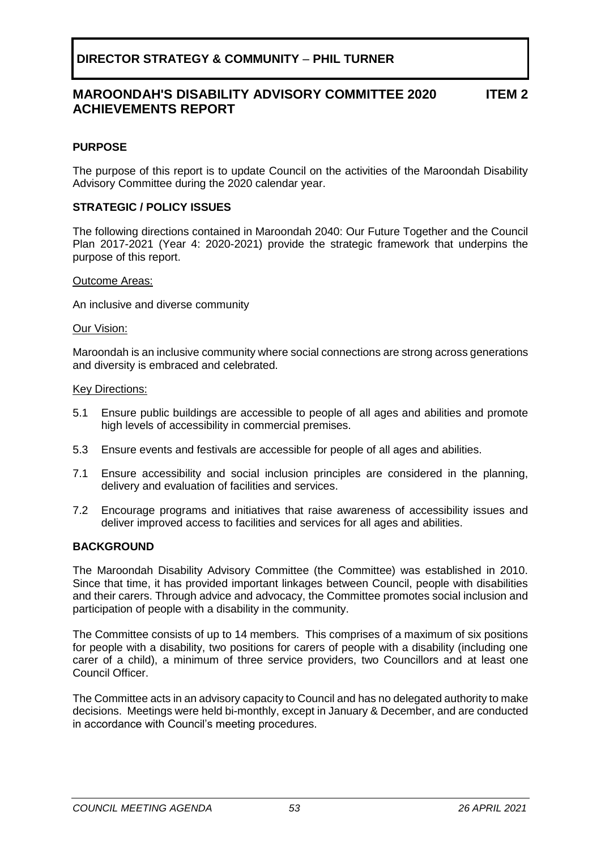#### **MAROONDAH'S DISABILITY ADVISORY COMMITTEE 2020 ACHIEVEMENTS REPORT ITEM 2**

#### <span id="page-52-0"></span>**PURPOSE**

The purpose of this report is to update Council on the activities of the Maroondah Disability Advisory Committee during the 2020 calendar year.

#### **STRATEGIC / POLICY ISSUES**

The following directions contained in Maroondah 2040: Our Future Together and the Council Plan 2017-2021 (Year 4: 2020-2021) provide the strategic framework that underpins the purpose of this report.

#### Outcome Areas:

An inclusive and diverse community

#### Our Vision:

Maroondah is an inclusive community where social connections are strong across generations and diversity is embraced and celebrated.

#### Key Directions:

- 5.1 Ensure public buildings are accessible to people of all ages and abilities and promote high levels of accessibility in commercial premises.
- 5.3 Ensure events and festivals are accessible for people of all ages and abilities.
- 7.1 Ensure accessibility and social inclusion principles are considered in the planning, delivery and evaluation of facilities and services.
- 7.2 Encourage programs and initiatives that raise awareness of accessibility issues and deliver improved access to facilities and services for all ages and abilities.

#### **BACKGROUND**

The Maroondah Disability Advisory Committee (the Committee) was established in 2010. Since that time, it has provided important linkages between Council, people with disabilities and their carers. Through advice and advocacy, the Committee promotes social inclusion and participation of people with a disability in the community.

The Committee consists of up to 14 members. This comprises of a maximum of six positions for people with a disability, two positions for carers of people with a disability (including one carer of a child), a minimum of three service providers, two Councillors and at least one Council Officer.

The Committee acts in an advisory capacity to Council and has no delegated authority to make decisions. Meetings were held bi-monthly, except in January & December, and are conducted in accordance with Council's meeting procedures.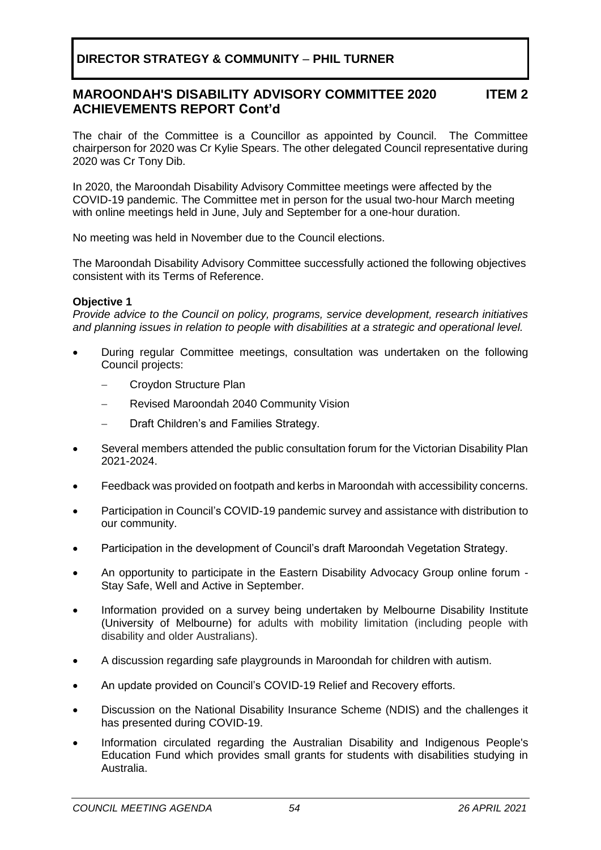#### **MAROONDAH'S DISABILITY ADVISORY COMMITTEE 2020 ACHIEVEMENTS REPORT Cont'd ITEM 2**

The chair of the Committee is a Councillor as appointed by Council. The Committee chairperson for 2020 was Cr Kylie Spears. The other delegated Council representative during 2020 was Cr Tony Dib.

In 2020, the Maroondah Disability Advisory Committee meetings were affected by the COVID-19 pandemic. The Committee met in person for the usual two-hour March meeting with online meetings held in June, July and September for a one-hour duration.

No meeting was held in November due to the Council elections.

The Maroondah Disability Advisory Committee successfully actioned the following objectives consistent with its Terms of Reference.

#### **Objective 1**

*Provide advice to the Council on policy, programs, service development, research initiatives and planning issues in relation to people with disabilities at a strategic and operational level.*

- During regular Committee meetings, consultation was undertaken on the following Council projects:
	- − Croydon Structure Plan
	- − Revised Maroondah 2040 Community Vision
	- Draft Children's and Families Strategy.
- Several members attended the public consultation forum for the Victorian Disability Plan 2021-2024.
- Feedback was provided on footpath and kerbs in Maroondah with accessibility concerns.
- Participation in Council's COVID-19 pandemic survey and assistance with distribution to our community.
- Participation in the development of Council's draft Maroondah Vegetation Strategy.
- An opportunity to participate in the Eastern Disability Advocacy Group online forum Stay Safe, Well and Active in September.
- Information provided on a survey being undertaken by Melbourne Disability Institute (University of Melbourne) for adults with mobility limitation (including people with disability and older Australians).
- A discussion regarding safe playgrounds in Maroondah for children with autism.
- An update provided on Council's COVID-19 Relief and Recovery efforts.
- Discussion on the National Disability Insurance Scheme (NDIS) and the challenges it has presented during COVID-19.
- Information circulated regarding the Australian Disability and Indigenous People's Education Fund which provides small grants for students with disabilities studying in Australia.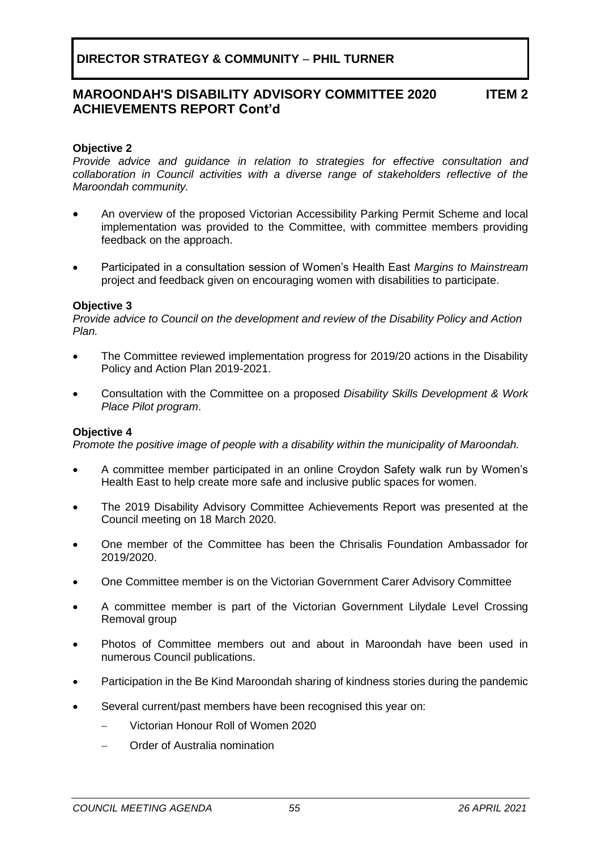#### **MAROONDAH'S DISABILITY ADVISORY COMMITTEE 2020 ACHIEVEMENTS REPORT Cont'd ITEM 2**

#### **Objective 2**

*Provide advice and guidance in relation to strategies for effective consultation and collaboration in Council activities with a diverse range of stakeholders reflective of the Maroondah community.*

- An overview of the proposed Victorian Accessibility Parking Permit Scheme and local implementation was provided to the Committee, with committee members providing feedback on the approach.
- Participated in a consultation session of Women's Health East *Margins to Mainstream* project and feedback given on encouraging women with disabilities to participate.

#### **Objective 3**

*Provide advice to Council on the development and review of the Disability Policy and Action Plan.*

- The Committee reviewed implementation progress for 2019/20 actions in the Disability Policy and Action Plan 2019-2021.
- Consultation with the Committee on a proposed *Disability Skills Development & Work Place Pilot program*.

#### **Objective 4**

*Promote the positive image of people with a disability within the municipality of Maroondah.*

- A committee member participated in an online Croydon Safety walk run by Women's Health East to help create more safe and inclusive public spaces for women.
- The 2019 Disability Advisory Committee Achievements Report was presented at the Council meeting on 18 March 2020.
- One member of the Committee has been the Chrisalis Foundation Ambassador for 2019/2020.
- One Committee member is on the Victorian Government Carer Advisory Committee
- A committee member is part of the Victorian Government Lilydale Level Crossing Removal group
- Photos of Committee members out and about in Maroondah have been used in numerous Council publications.
- Participation in the Be Kind Maroondah sharing of kindness stories during the pandemic
- Several current/past members have been recognised this year on:
	- − Victorian Honour Roll of Women 2020
	- − Order of Australia nomination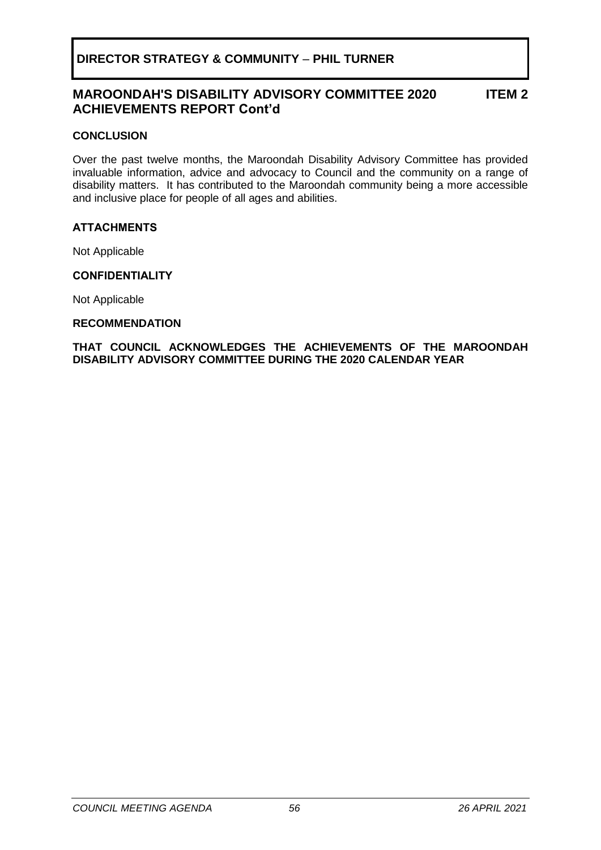## **MAROONDAH'S DISABILITY ADVISORY COMMITTEE 2020 ACHIEVEMENTS REPORT Cont'd**

**ITEM 2**

#### **CONCLUSION**

Over the past twelve months, the Maroondah Disability Advisory Committee has provided invaluable information, advice and advocacy to Council and the community on a range of disability matters. It has contributed to the Maroondah community being a more accessible and inclusive place for people of all ages and abilities.

#### **ATTACHMENTS**

Not Applicable

#### **CONFIDENTIALITY**

Not Applicable

#### **RECOMMENDATION**

**THAT COUNCIL ACKNOWLEDGES THE ACHIEVEMENTS OF THE MAROONDAH DISABILITY ADVISORY COMMITTEE DURING THE 2020 CALENDAR YEAR**